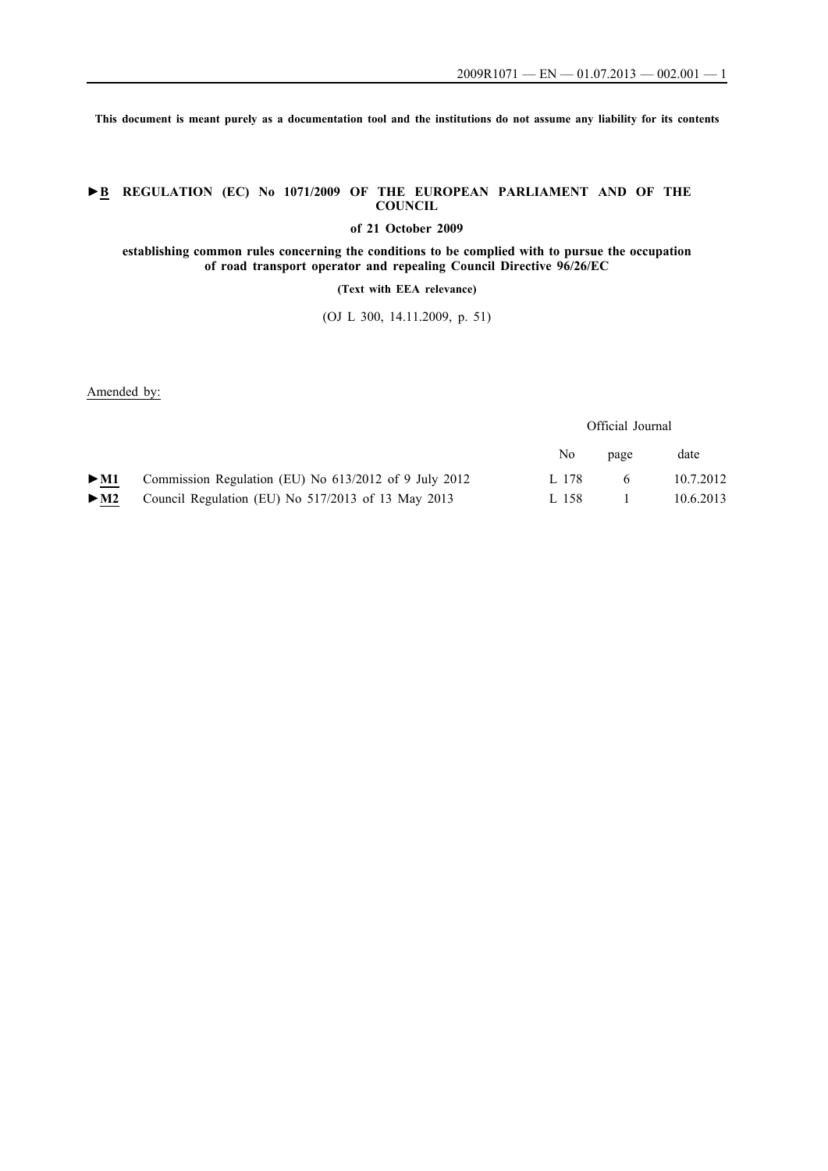**This document is meant purely as a documentation tool and the institutions do not assume any liability for its contents**

## **►B REGULATION (EC) No 1071/2009 OF THE EUROPEAN PARLIAMENT AND OF THE COUNCIL**

**of 21 October 2009**

**establishing common rules concerning the conditions to be complied with to pursue the occupation of road transport operator and repealing Council Directive 96/26/EC**

## **(Text with EEA relevance)**

(OJ L 300, 14.11.2009, p. 51)

Amended by:

Official Journal

|                          |                                                       | No    | page | date      |
|--------------------------|-------------------------------------------------------|-------|------|-----------|
| $\blacktriangleright$ M1 | Commission Regulation (EU) No 613/2012 of 9 July 2012 | L 178 |      | 10.7.2012 |
| $\blacktriangleright$ M2 | Council Regulation (EU) No 517/2013 of 13 May 2013    | L 158 |      | 10.6.2013 |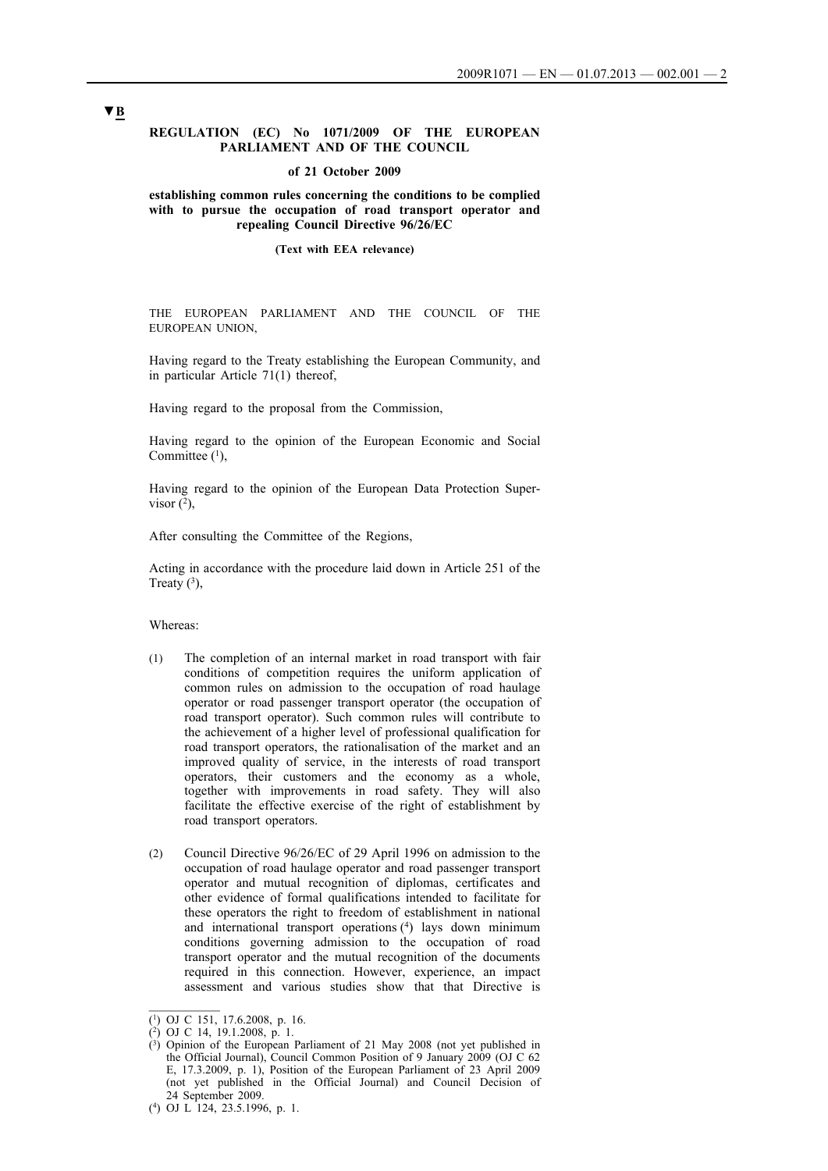### **REGULATION (EC) No 1071/2009 OF THE EUROPEAN PARLIAMENT AND OF THE COUNCIL**

## **of 21 October 2009**

### **establishing common rules concerning the conditions to be complied with to pursue the occupation of road transport operator and repealing Council Directive 96/26/EC**

#### **(Text with EEA relevance)**

THE EUROPEAN PARLIAMENT AND THE COUNCIL OF THE EUROPEAN UNION,

Having regard to the Treaty establishing the European Community, and in particular Article 71(1) thereof,

Having regard to the proposal from the Commission,

Having regard to the opinion of the European Economic and Social Committee  $(1)$ ,

Having regard to the opinion of the European Data Protection Supervisor  $(2)$ ,

After consulting the Committee of the Regions,

Acting in accordance with the procedure laid down in Article 251 of the Treaty  $(3)$ ,

#### Whereas:

- (1) The completion of an internal market in road transport with fair conditions of competition requires the uniform application of common rules on admission to the occupation of road haulage operator or road passenger transport operator (the occupation of road transport operator). Such common rules will contribute to the achievement of a higher level of professional qualification for road transport operators, the rationalisation of the market and an improved quality of service, in the interests of road transport operators, their customers and the economy as a whole, together with improvements in road safety. They will also facilitate the effective exercise of the right of establishment by road transport operators.
- (2) Council Directive 96/26/EC of 29 April 1996 on admission to the occupation of road haulage operator and road passenger transport operator and mutual recognition of diplomas, certificates and other evidence of formal qualifications intended to facilitate for these operators the right to freedom of establishment in national and international transport operations  $(4)$  lays down minimum conditions governing admission to the occupation of road transport operator and the mutual recognition of the documents required in this connection. However, experience, an impact assessment and various studies show that that Directive is

<sup>(1)</sup> OJ C 151, 17.6.2008, p. 16.

<sup>(2)</sup> OJ C 14, 19.1.2008, p. 1.

 $(3)$  Opinion of the European Parliament of 21 May 2008 (not yet published in the Official Journal), Council Common Position of 9 January 2009 (OJ C 62 E, 17.3.2009, p. 1), Position of the European Parliament of 23 April 2009 (not yet published in the Official Journal) and Council Decision of 24 September 2009.

<sup>(4)</sup> OJ L 124, 23.5.1996, p. 1.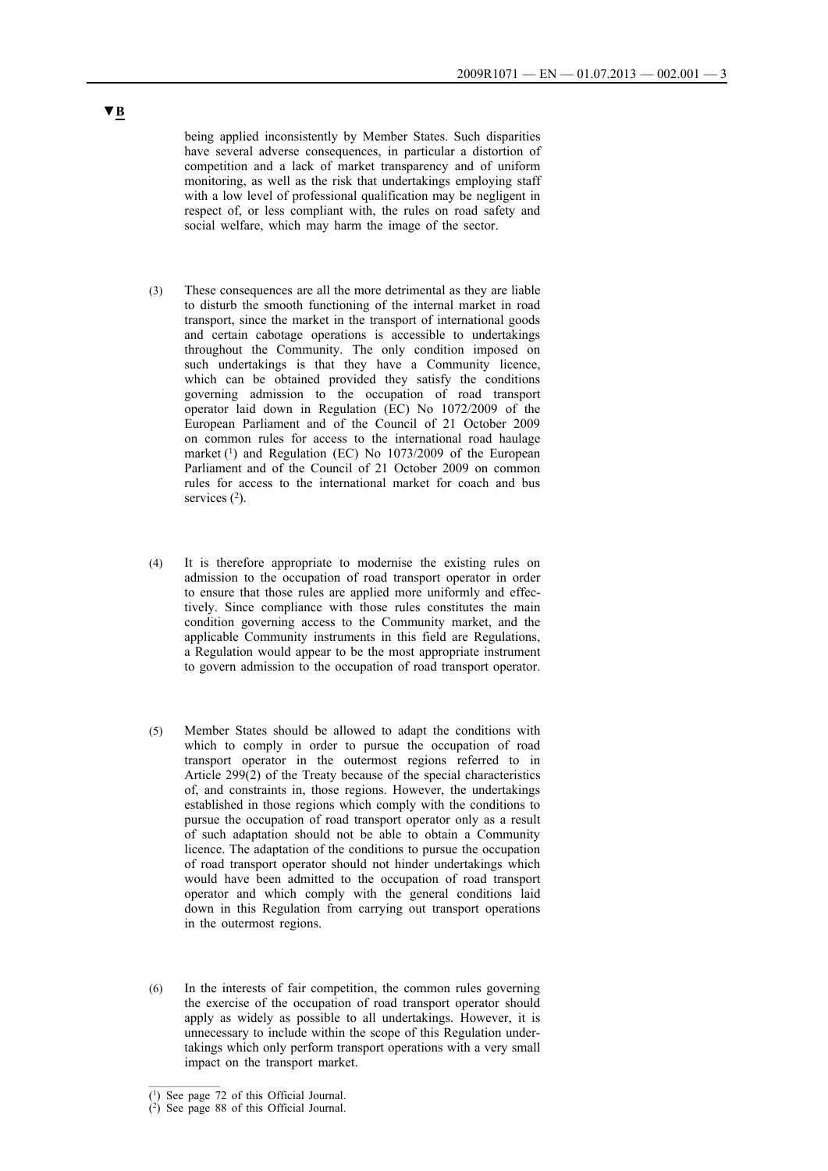being applied inconsistently by Member States. Such disparities have several adverse consequences, in particular a distortion of competition and a lack of market transparency and of uniform monitoring, as well as the risk that undertakings employing staff with a low level of professional qualification may be negligent in respect of, or less compliant with, the rules on road safety and social welfare, which may harm the image of the sector.

- (3) These consequences are all the more detrimental as they are liable to disturb the smooth functioning of the internal market in road transport, since the market in the transport of international goods and certain cabotage operations is accessible to undertakings throughout the Community. The only condition imposed on such undertakings is that they have a Community licence, which can be obtained provided they satisfy the conditions governing admission to the occupation of road transport operator laid down in Regulation (EC) No 1072/2009 of the European Parliament and of the Council of 21 October 2009 on common rules for access to the international road haulage market  $(1)$  and Regulation (EC) No 1073/2009 of the European Parliament and of the Council of 21 October 2009 on common rules for access to the international market for coach and bus services  $(2)$ .
- (4) It is therefore appropriate to modernise the existing rules on admission to the occupation of road transport operator in order to ensure that those rules are applied more uniformly and effectively. Since compliance with those rules constitutes the main condition governing access to the Community market, and the applicable Community instruments in this field are Regulations, a Regulation would appear to be the most appropriate instrument to govern admission to the occupation of road transport operator.
- (5) Member States should be allowed to adapt the conditions with which to comply in order to pursue the occupation of road transport operator in the outermost regions referred to in Article 299(2) of the Treaty because of the special characteristics of, and constraints in, those regions. However, the undertakings established in those regions which comply with the conditions to pursue the occupation of road transport operator only as a result of such adaptation should not be able to obtain a Community licence. The adaptation of the conditions to pursue the occupation of road transport operator should not hinder undertakings which would have been admitted to the occupation of road transport operator and which comply with the general conditions laid down in this Regulation from carrying out transport operations in the outermost regions.
- (6) In the interests of fair competition, the common rules governing the exercise of the occupation of road transport operator should apply as widely as possible to all undertakings. However, it is unnecessary to include within the scope of this Regulation undertakings which only perform transport operations with a very small impact on the transport market.

<sup>(1)</sup> See page 72 of this Official Journal.

<sup>(2)</sup> See page 88 of this Official Journal.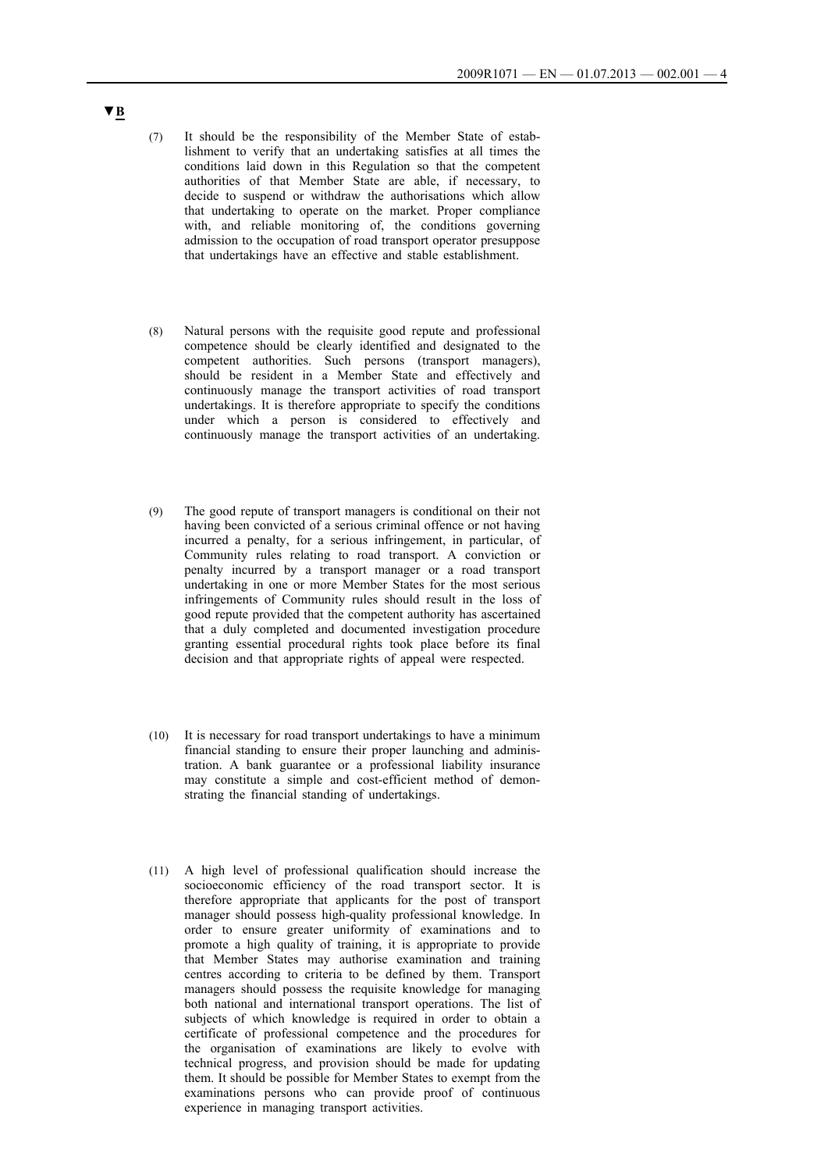- (7) It should be the responsibility of the Member State of establishment to verify that an undertaking satisfies at all times the conditions laid down in this Regulation so that the competent authorities of that Member State are able, if necessary, to decide to suspend or withdraw the authorisations which allow that undertaking to operate on the market. Proper compliance with, and reliable monitoring of, the conditions governing admission to the occupation of road transport operator presuppose that undertakings have an effective and stable establishment.
- (8) Natural persons with the requisite good repute and professional competence should be clearly identified and designated to the competent authorities. Such persons (transport managers), should be resident in a Member State and effectively and continuously manage the transport activities of road transport undertakings. It is therefore appropriate to specify the conditions under which a person is considered to effectively and continuously manage the transport activities of an undertaking.
- (9) The good repute of transport managers is conditional on their not having been convicted of a serious criminal offence or not having incurred a penalty, for a serious infringement, in particular, of Community rules relating to road transport. A conviction or penalty incurred by a transport manager or a road transport undertaking in one or more Member States for the most serious infringements of Community rules should result in the loss of good repute provided that the competent authority has ascertained that a duly completed and documented investigation procedure granting essential procedural rights took place before its final decision and that appropriate rights of appeal were respected.
- (10) It is necessary for road transport undertakings to have a minimum financial standing to ensure their proper launching and administration. A bank guarantee or a professional liability insurance may constitute a simple and cost-efficient method of demonstrating the financial standing of undertakings.
- (11) A high level of professional qualification should increase the socioeconomic efficiency of the road transport sector. It is therefore appropriate that applicants for the post of transport manager should possess high-quality professional knowledge. In order to ensure greater uniformity of examinations and to promote a high quality of training, it is appropriate to provide that Member States may authorise examination and training centres according to criteria to be defined by them. Transport managers should possess the requisite knowledge for managing both national and international transport operations. The list of subjects of which knowledge is required in order to obtain a certificate of professional competence and the procedures for the organisation of examinations are likely to evolve with technical progress, and provision should be made for updating them. It should be possible for Member States to exempt from the examinations persons who can provide proof of continuous experience in managing transport activities.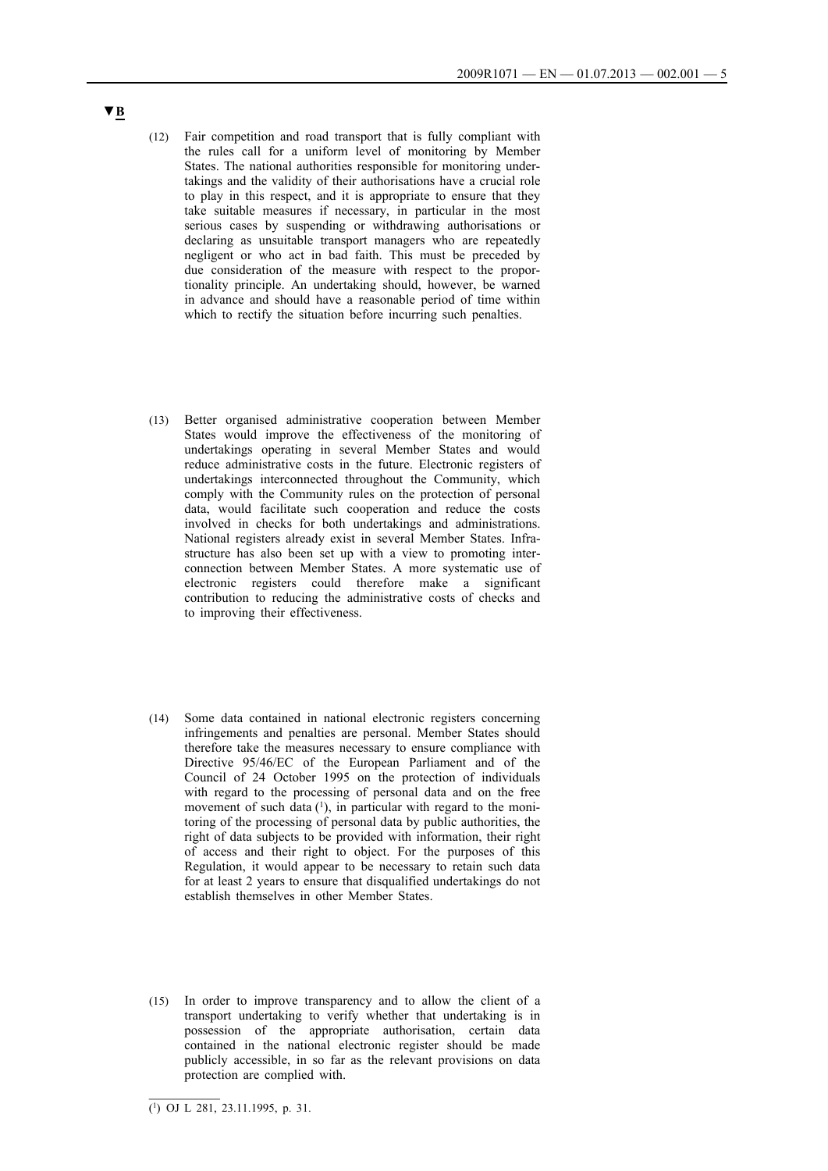- (12) Fair competition and road transport that is fully compliant with the rules call for a uniform level of monitoring by Member States. The national authorities responsible for monitoring undertakings and the validity of their authorisations have a crucial role to play in this respect, and it is appropriate to ensure that they take suitable measures if necessary, in particular in the most serious cases by suspending or withdrawing authorisations or declaring as unsuitable transport managers who are repeatedly negligent or who act in bad faith. This must be preceded by due consideration of the measure with respect to the proportionality principle. An undertaking should, however, be warned in advance and should have a reasonable period of time within which to rectify the situation before incurring such penalties.
- (13) Better organised administrative cooperation between Member States would improve the effectiveness of the monitoring of undertakings operating in several Member States and would reduce administrative costs in the future. Electronic registers of undertakings interconnected throughout the Community, which comply with the Community rules on the protection of personal data, would facilitate such cooperation and reduce the costs involved in checks for both undertakings and administrations. National registers already exist in several Member States. Infrastructure has also been set up with a view to promoting interconnection between Member States. A more systematic use of electronic registers could therefore make a significant contribution to reducing the administrative costs of checks and to improving their effectiveness.
- (14) Some data contained in national electronic registers concerning infringements and penalties are personal. Member States should therefore take the measures necessary to ensure compliance with Directive 95/46/EC of the European Parliament and of the Council of 24 October 1995 on the protection of individuals with regard to the processing of personal data and on the free movement of such data  $(1)$ , in particular with regard to the monitoring of the processing of personal data by public authorities, the right of data subjects to be provided with information, their right of access and their right to object. For the purposes of this Regulation, it would appear to be necessary to retain such data for at least 2 years to ensure that disqualified undertakings do not establish themselves in other Member States.
- (15) In order to improve transparency and to allow the client of a transport undertaking to verify whether that undertaking is in possession of the appropriate authorisation, certain data contained in the national electronic register should be made publicly accessible, in so far as the relevant provisions on data protection are complied with.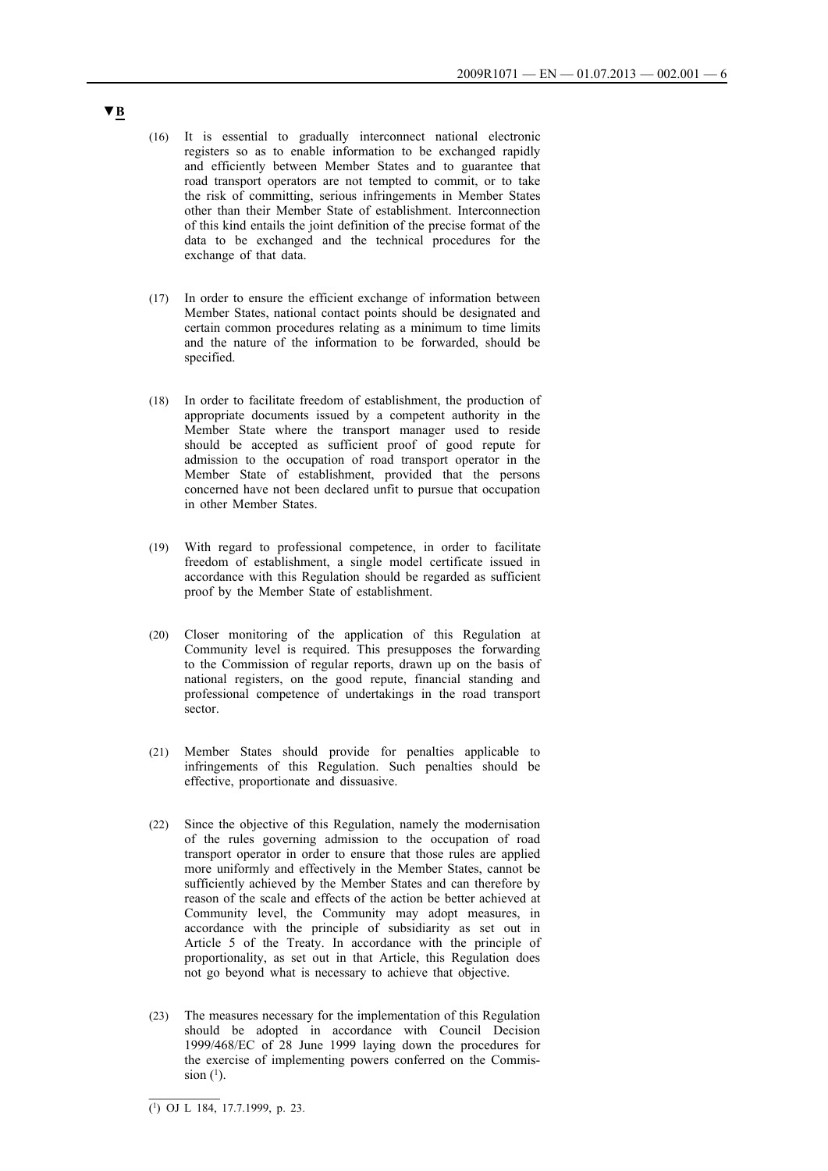- (16) It is essential to gradually interconnect national electronic registers so as to enable information to be exchanged rapidly and efficiently between Member States and to guarantee that road transport operators are not tempted to commit, or to take the risk of committing, serious infringements in Member States other than their Member State of establishment. Interconnection of this kind entails the joint definition of the precise format of the data to be exchanged and the technical procedures for the exchange of that data.
- (17) In order to ensure the efficient exchange of information between Member States, national contact points should be designated and certain common procedures relating as a minimum to time limits and the nature of the information to be forwarded, should be specified.
- (18) In order to facilitate freedom of establishment, the production of appropriate documents issued by a competent authority in the Member State where the transport manager used to reside should be accepted as sufficient proof of good repute for admission to the occupation of road transport operator in the Member State of establishment, provided that the persons concerned have not been declared unfit to pursue that occupation in other Member States.
- (19) With regard to professional competence, in order to facilitate freedom of establishment, a single model certificate issued in accordance with this Regulation should be regarded as sufficient proof by the Member State of establishment.
- (20) Closer monitoring of the application of this Regulation at Community level is required. This presupposes the forwarding to the Commission of regular reports, drawn up on the basis of national registers, on the good repute, financial standing and professional competence of undertakings in the road transport sector.
- (21) Member States should provide for penalties applicable to infringements of this Regulation. Such penalties should be effective, proportionate and dissuasive.
- (22) Since the objective of this Regulation, namely the modernisation of the rules governing admission to the occupation of road transport operator in order to ensure that those rules are applied more uniformly and effectively in the Member States, cannot be sufficiently achieved by the Member States and can therefore by reason of the scale and effects of the action be better achieved at Community level, the Community may adopt measures, in accordance with the principle of subsidiarity as set out in Article 5 of the Treaty. In accordance with the principle of proportionality, as set out in that Article, this Regulation does not go beyond what is necessary to achieve that objective.
- (23) The measures necessary for the implementation of this Regulation should be adopted in accordance with Council Decision 1999/468/EC of 28 June 1999 laying down the procedures for the exercise of implementing powers conferred on the Commission  $(1)$ .

 $\overline{(^1)}$  OJ L 184, 17.7.1999, p. 23.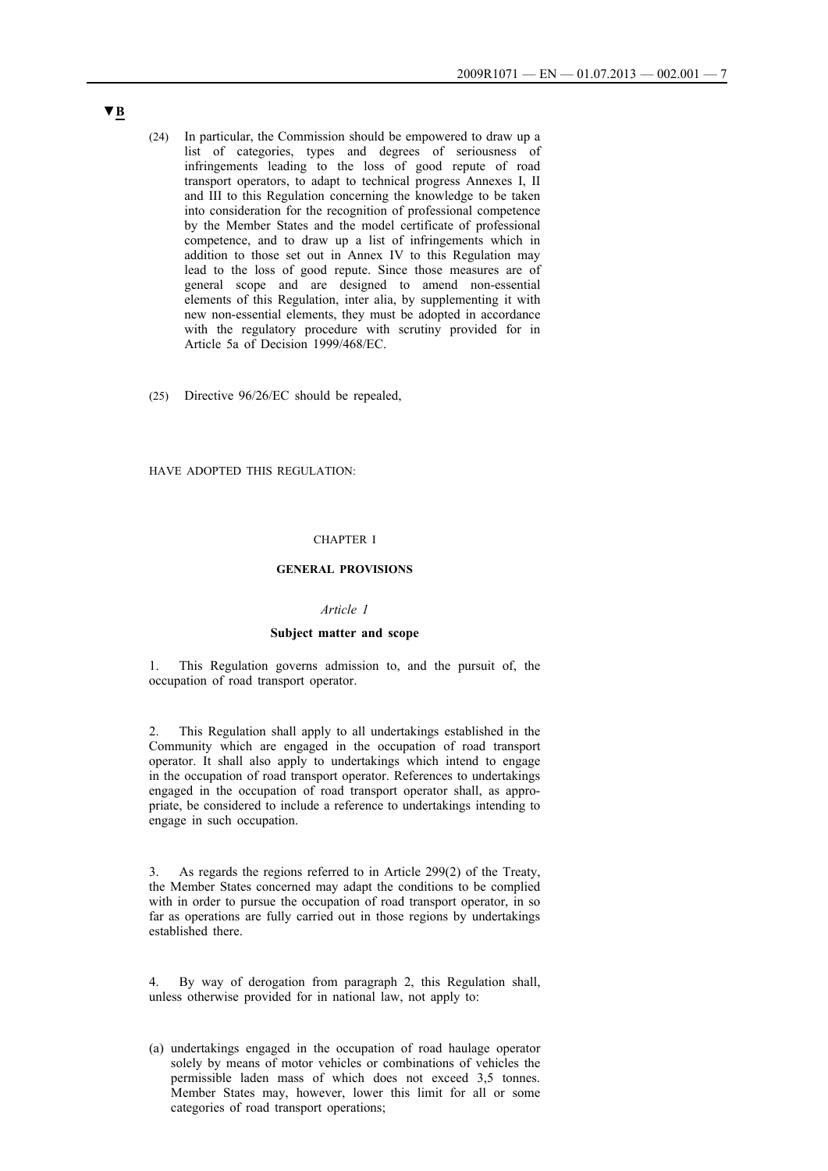- (24) In particular, the Commission should be empowered to draw up a list of categories, types and degrees of seriousness of infringements leading to the loss of good repute of road transport operators, to adapt to technical progress Annexes I, II and III to this Regulation concerning the knowledge to be taken into consideration for the recognition of professional competence by the Member States and the model certificate of professional competence, and to draw up a list of infringements which in addition to those set out in Annex IV to this Regulation may lead to the loss of good repute. Since those measures are of general scope and are designed to amend non-essential elements of this Regulation, inter alia, by supplementing it with new non-essential elements, they must be adopted in accordance with the regulatory procedure with scrutiny provided for in Article 5a of Decision 1999/468/EC.
- (25) Directive 96/26/EC should be repealed,

HAVE ADOPTED THIS REGULATION:

## CHAPTER I

### **GENERAL PROVISIONS**

#### *Article 1*

### **Subject matter and scope**

1. This Regulation governs admission to, and the pursuit of, the occupation of road transport operator.

2. This Regulation shall apply to all undertakings established in the Community which are engaged in the occupation of road transport operator. It shall also apply to undertakings which intend to engage in the occupation of road transport operator. References to undertakings engaged in the occupation of road transport operator shall, as appropriate, be considered to include a reference to undertakings intending to engage in such occupation.

3. As regards the regions referred to in Article 299(2) of the Treaty, the Member States concerned may adapt the conditions to be complied with in order to pursue the occupation of road transport operator, in so far as operations are fully carried out in those regions by undertakings established there.

4. By way of derogation from paragraph 2, this Regulation shall, unless otherwise provided for in national law, not apply to:

(a) undertakings engaged in the occupation of road haulage operator solely by means of motor vehicles or combinations of vehicles the permissible laden mass of which does not exceed 3,5 tonnes. Member States may, however, lower this limit for all or some categories of road transport operations;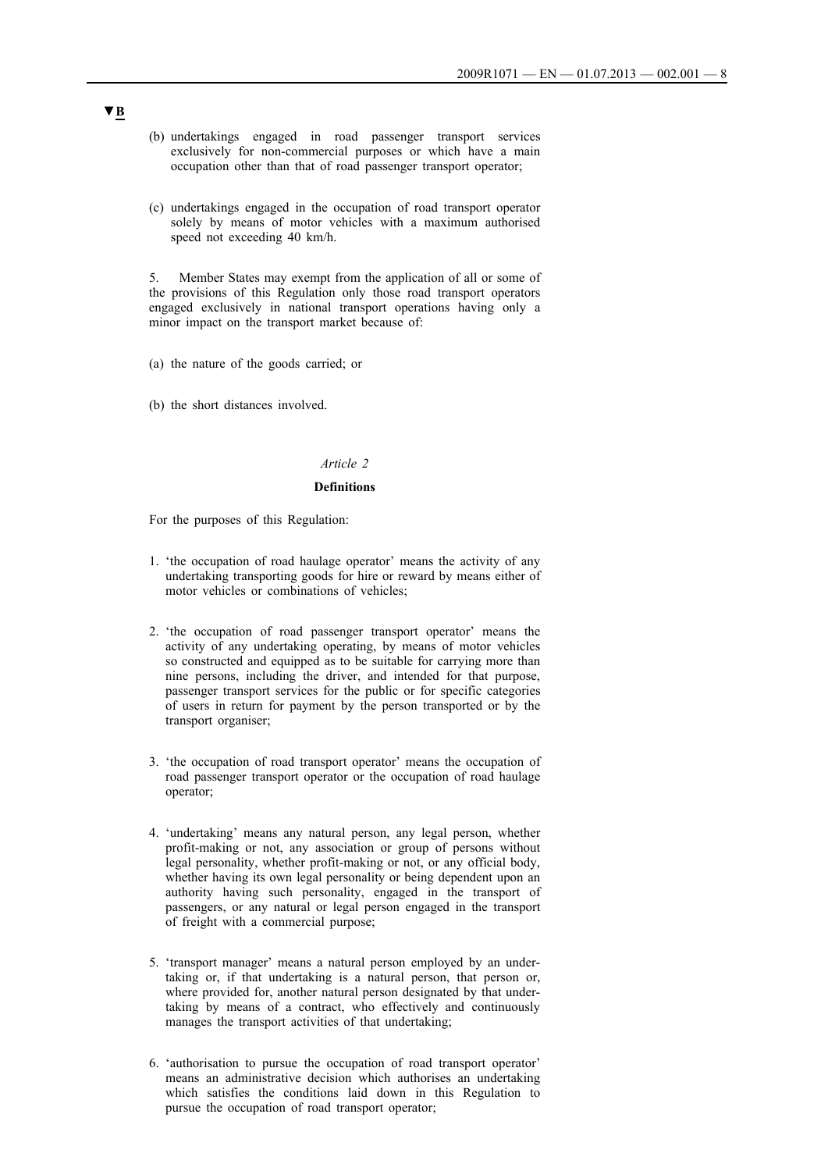- (b) undertakings engaged in road passenger transport services exclusively for non-commercial purposes or which have a main occupation other than that of road passenger transport operator;
- (c) undertakings engaged in the occupation of road transport operator solely by means of motor vehicles with a maximum authorised speed not exceeding 40 km/h.

5. Member States may exempt from the application of all or some of the provisions of this Regulation only those road transport operators engaged exclusively in national transport operations having only a minor impact on the transport market because of:

- (a) the nature of the goods carried; or
- (b) the short distances involved.

## *Article 2*

#### **Definitions**

For the purposes of this Regulation:

- 1. 'the occupation of road haulage operator' means the activity of any undertaking transporting goods for hire or reward by means either of motor vehicles or combinations of vehicles;
- 2. 'the occupation of road passenger transport operator' means the activity of any undertaking operating, by means of motor vehicles so constructed and equipped as to be suitable for carrying more than nine persons, including the driver, and intended for that purpose, passenger transport services for the public or for specific categories of users in return for payment by the person transported or by the transport organiser;
- 3. 'the occupation of road transport operator' means the occupation of road passenger transport operator or the occupation of road haulage operator;
- 4. 'undertaking' means any natural person, any legal person, whether profit-making or not, any association or group of persons without legal personality, whether profit-making or not, or any official body, whether having its own legal personality or being dependent upon an authority having such personality, engaged in the transport of passengers, or any natural or legal person engaged in the transport of freight with a commercial purpose;
- 5. 'transport manager' means a natural person employed by an undertaking or, if that undertaking is a natural person, that person or, where provided for, another natural person designated by that undertaking by means of a contract, who effectively and continuously manages the transport activities of that undertaking;
- 6. 'authorisation to pursue the occupation of road transport operator' means an administrative decision which authorises an undertaking which satisfies the conditions laid down in this Regulation to pursue the occupation of road transport operator;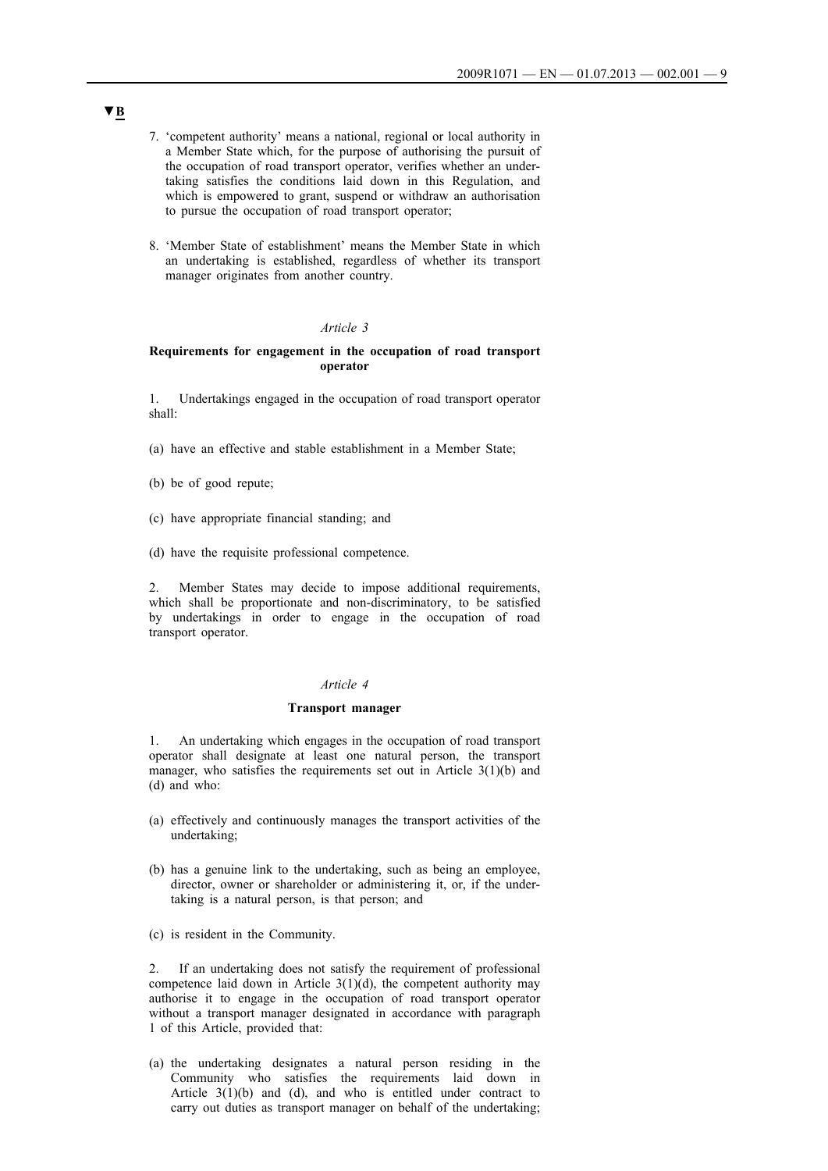- 7. 'competent authority' means a national, regional or local authority in a Member State which, for the purpose of authorising the pursuit of the occupation of road transport operator, verifies whether an undertaking satisfies the conditions laid down in this Regulation, and which is empowered to grant, suspend or withdraw an authorisation to pursue the occupation of road transport operator;
- 8. 'Member State of establishment' means the Member State in which an undertaking is established, regardless of whether its transport manager originates from another country.

## **Requirements for engagement in the occupation of road transport operator**

1. Undertakings engaged in the occupation of road transport operator shall:

- (a) have an effective and stable establishment in a Member State;
- (b) be of good repute;
- (c) have appropriate financial standing; and
- (d) have the requisite professional competence.

2. Member States may decide to impose additional requirements, which shall be proportionate and non-discriminatory, to be satisfied by undertakings in order to engage in the occupation of road transport operator.

#### *Article 4*

#### **Transport manager**

1. An undertaking which engages in the occupation of road transport operator shall designate at least one natural person, the transport manager, who satisfies the requirements set out in Article 3(1)(b) and (d) and who:

- (a) effectively and continuously manages the transport activities of the undertaking;
- (b) has a genuine link to the undertaking, such as being an employee, director, owner or shareholder or administering it, or, if the undertaking is a natural person, is that person; and
- (c) is resident in the Community.

2. If an undertaking does not satisfy the requirement of professional competence laid down in Article  $3(1)(d)$ , the competent authority may authorise it to engage in the occupation of road transport operator without a transport manager designated in accordance with paragraph 1 of this Article, provided that:

(a) the undertaking designates a natural person residing in the Community who satisfies the requirements laid down in Article  $3(1)(b)$  and (d), and who is entitled under contract to carry out duties as transport manager on behalf of the undertaking;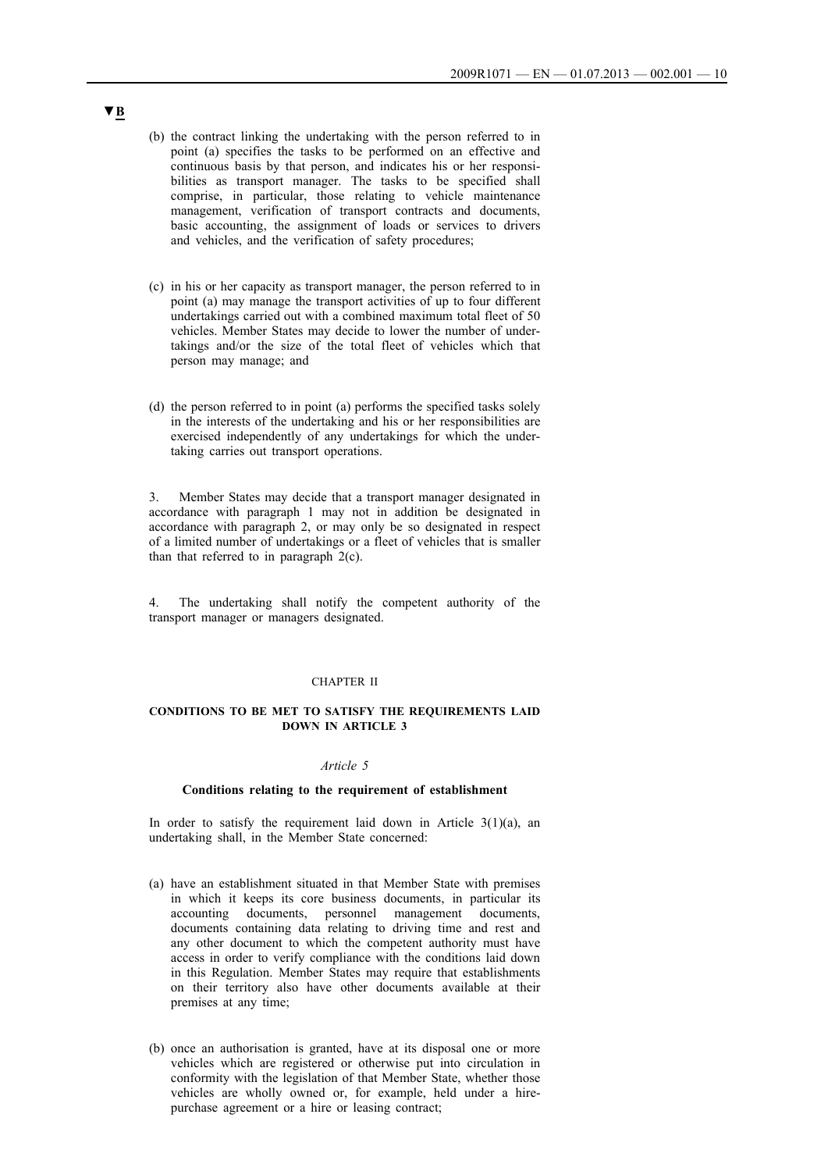- (b) the contract linking the undertaking with the person referred to in point (a) specifies the tasks to be performed on an effective and continuous basis by that person, and indicates his or her responsibilities as transport manager. The tasks to be specified shall comprise, in particular, those relating to vehicle maintenance management, verification of transport contracts and documents, basic accounting, the assignment of loads or services to drivers and vehicles, and the verification of safety procedures;
- (c) in his or her capacity as transport manager, the person referred to in point (a) may manage the transport activities of up to four different undertakings carried out with a combined maximum total fleet of 50 vehicles. Member States may decide to lower the number of undertakings and/or the size of the total fleet of vehicles which that person may manage; and
- (d) the person referred to in point (a) performs the specified tasks solely in the interests of the undertaking and his or her responsibilities are exercised independently of any undertakings for which the undertaking carries out transport operations.

3. Member States may decide that a transport manager designated in accordance with paragraph 1 may not in addition be designated in accordance with paragraph 2, or may only be so designated in respect of a limited number of undertakings or a fleet of vehicles that is smaller than that referred to in paragraph  $2(c)$ .

4. The undertaking shall notify the competent authority of the transport manager or managers designated.

### CHAPTER II

## **CONDITIONS TO BE MET TO SATISFY THE REQUIREMENTS LAID DOWN IN ARTICLE 3**

#### *Article 5*

#### **Conditions relating to the requirement of establishment**

In order to satisfy the requirement laid down in Article  $3(1)(a)$ , an undertaking shall, in the Member State concerned:

- (a) have an establishment situated in that Member State with premises in which it keeps its core business documents, in particular its accounting documents, personnel management documents, documents containing data relating to driving time and rest and any other document to which the competent authority must have access in order to verify compliance with the conditions laid down in this Regulation. Member States may require that establishments on their territory also have other documents available at their premises at any time;
- (b) once an authorisation is granted, have at its disposal one or more vehicles which are registered or otherwise put into circulation in conformity with the legislation of that Member State, whether those vehicles are wholly owned or, for example, held under a hirepurchase agreement or a hire or leasing contract;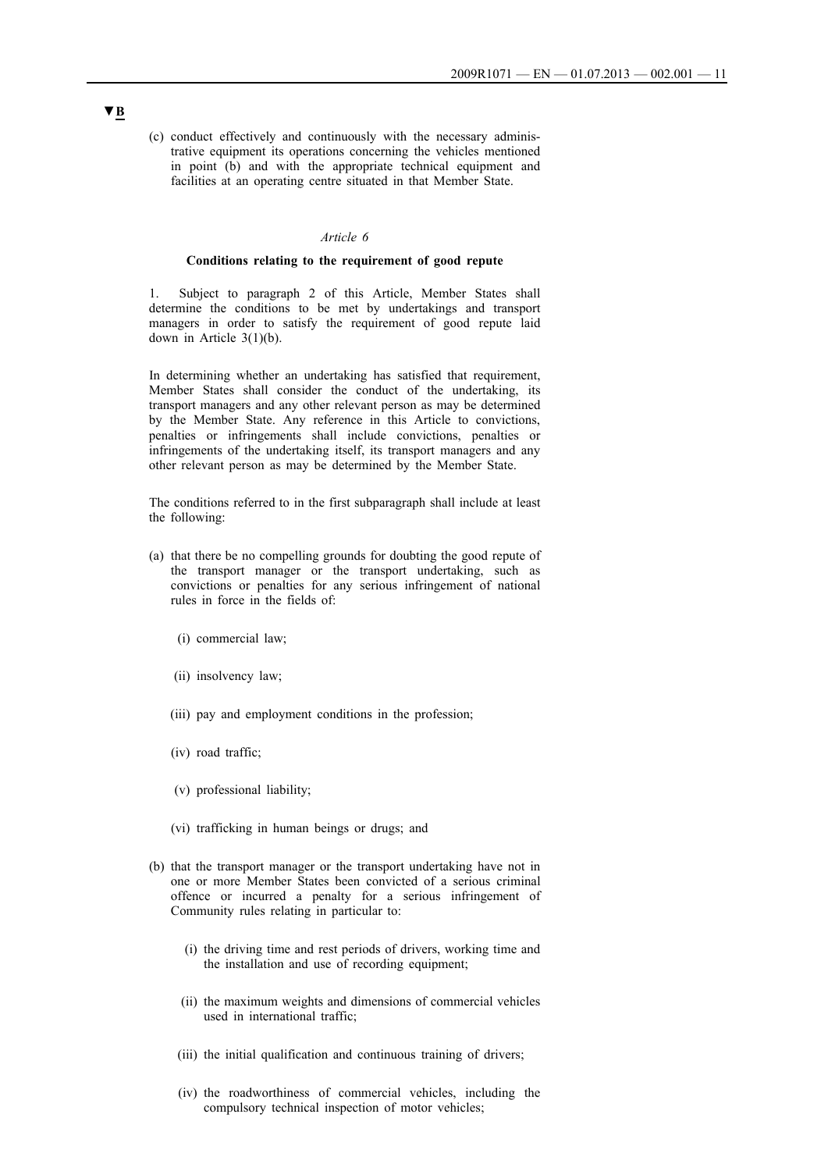(c) conduct effectively and continuously with the necessary administrative equipment its operations concerning the vehicles mentioned in point (b) and with the appropriate technical equipment and facilities at an operating centre situated in that Member State.

### *Article 6*

#### **Conditions relating to the requirement of good repute**

1. Subject to paragraph 2 of this Article, Member States shall determine the conditions to be met by undertakings and transport managers in order to satisfy the requirement of good repute laid down in Article 3(1)(b).

In determining whether an undertaking has satisfied that requirement, Member States shall consider the conduct of the undertaking, its transport managers and any other relevant person as may be determined by the Member State. Any reference in this Article to convictions, penalties or infringements shall include convictions, penalties or infringements of the undertaking itself, its transport managers and any other relevant person as may be determined by the Member State.

The conditions referred to in the first subparagraph shall include at least the following:

- (a) that there be no compelling grounds for doubting the good repute of the transport manager or the transport undertaking, such as convictions or penalties for any serious infringement of national rules in force in the fields of:
	- (i) commercial law;
	- (ii) insolvency law;
	- (iii) pay and employment conditions in the profession;
	- (iv) road traffic;
	- (v) professional liability;
	- (vi) trafficking in human beings or drugs; and
- (b) that the transport manager or the transport undertaking have not in one or more Member States been convicted of a serious criminal offence or incurred a penalty for a serious infringement of Community rules relating in particular to:
	- (i) the driving time and rest periods of drivers, working time and the installation and use of recording equipment;
	- (ii) the maximum weights and dimensions of commercial vehicles used in international traffic;
	- (iii) the initial qualification and continuous training of drivers;
	- (iv) the roadworthiness of commercial vehicles, including the compulsory technical inspection of motor vehicles;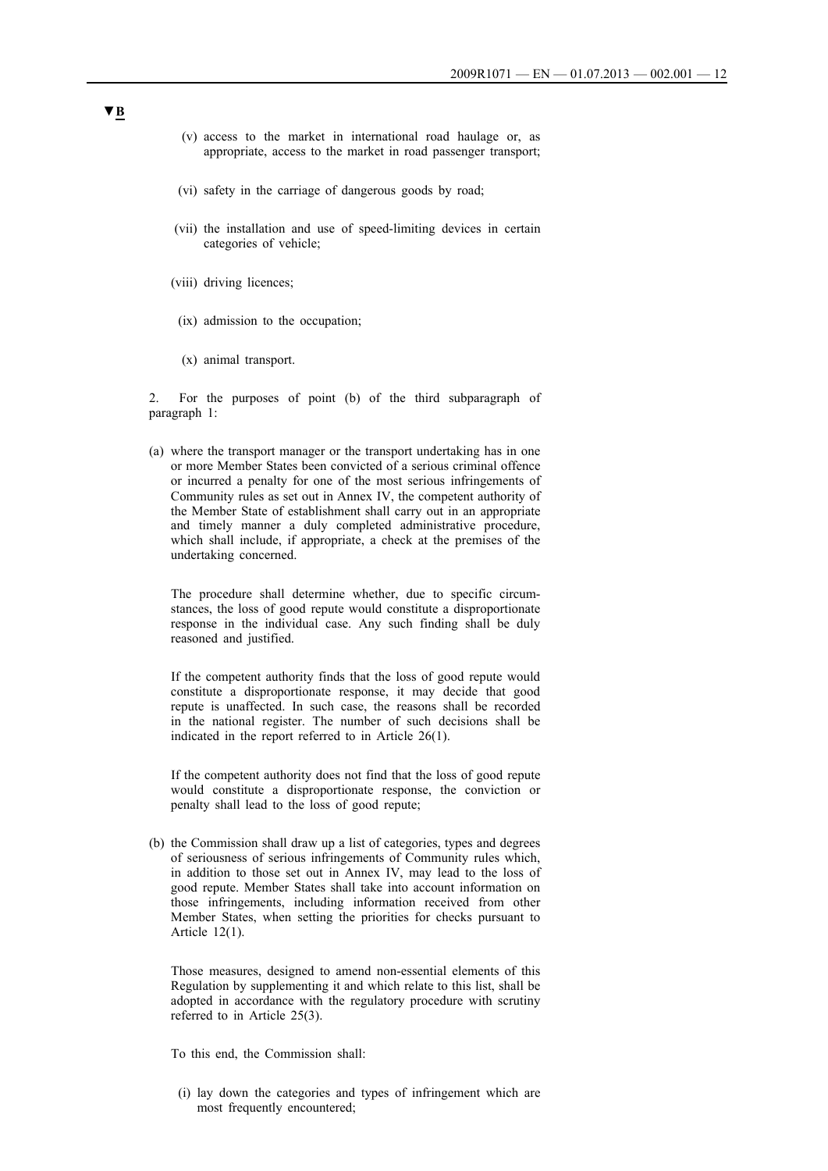- (v) access to the market in international road haulage or, as appropriate, access to the market in road passenger transport;
- (vi) safety in the carriage of dangerous goods by road;
- (vii) the installation and use of speed-limiting devices in certain categories of vehicle;
- (viii) driving licences;
- (ix) admission to the occupation;
- (x) animal transport.

2. For the purposes of point (b) of the third subparagraph of paragraph 1:

(a) where the transport manager or the transport undertaking has in one or more Member States been convicted of a serious criminal offence or incurred a penalty for one of the most serious infringements of Community rules as set out in Annex IV, the competent authority of the Member State of establishment shall carry out in an appropriate and timely manner a duly completed administrative procedure, which shall include, if appropriate, a check at the premises of the undertaking concerned.

The procedure shall determine whether, due to specific circumstances, the loss of good repute would constitute a disproportionate response in the individual case. Any such finding shall be duly reasoned and justified.

If the competent authority finds that the loss of good repute would constitute a disproportionate response, it may decide that good repute is unaffected. In such case, the reasons shall be recorded in the national register. The number of such decisions shall be indicated in the report referred to in Article 26(1).

If the competent authority does not find that the loss of good repute would constitute a disproportionate response, the conviction or penalty shall lead to the loss of good repute;

(b) the Commission shall draw up a list of categories, types and degrees of seriousness of serious infringements of Community rules which, in addition to those set out in Annex IV, may lead to the loss of good repute. Member States shall take into account information on those infringements, including information received from other Member States, when setting the priorities for checks pursuant to Article 12(1).

Those measures, designed to amend non-essential elements of this Regulation by supplementing it and which relate to this list, shall be adopted in accordance with the regulatory procedure with scrutiny referred to in Article 25(3).

To this end, the Commission shall:

(i) lay down the categories and types of infringement which are most frequently encountered;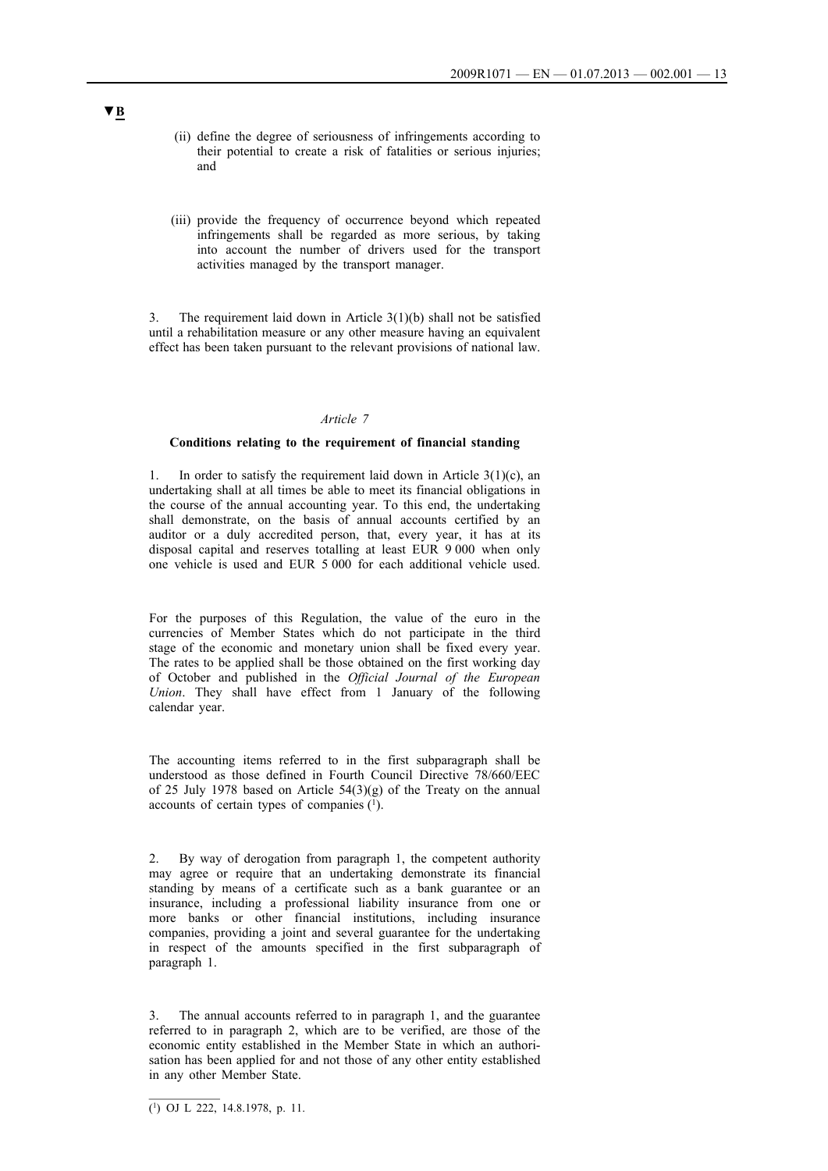- (ii) define the degree of seriousness of infringements according to their potential to create a risk of fatalities or serious injuries; and
- (iii) provide the frequency of occurrence beyond which repeated infringements shall be regarded as more serious, by taking into account the number of drivers used for the transport activities managed by the transport manager.

3. The requirement laid down in Article 3(1)(b) shall not be satisfied until a rehabilitation measure or any other measure having an equivalent effect has been taken pursuant to the relevant provisions of national law.

## *Article 7*

#### **Conditions relating to the requirement of financial standing**

In order to satisfy the requirement laid down in Article  $3(1)(c)$ , an undertaking shall at all times be able to meet its financial obligations in the course of the annual accounting year. To this end, the undertaking shall demonstrate, on the basis of annual accounts certified by an auditor or a duly accredited person, that, every year, it has at its disposal capital and reserves totalling at least EUR 9 000 when only one vehicle is used and EUR 5 000 for each additional vehicle used.

For the purposes of this Regulation, the value of the euro in the currencies of Member States which do not participate in the third stage of the economic and monetary union shall be fixed every year. The rates to be applied shall be those obtained on the first working day of October and published in the *Official Journal of the European Union*. They shall have effect from 1 January of the following calendar year.

The accounting items referred to in the first subparagraph shall be understood as those defined in Fourth Council Directive 78/660/EEC of 25 July 1978 based on Article  $54(3)(g)$  of the Treaty on the annual accounts of certain types of companies (1).

2. By way of derogation from paragraph 1, the competent authority may agree or require that an undertaking demonstrate its financial standing by means of a certificate such as a bank guarantee or an insurance, including a professional liability insurance from one or more banks or other financial institutions, including insurance companies, providing a joint and several guarantee for the undertaking in respect of the amounts specified in the first subparagraph of paragraph 1.

3. The annual accounts referred to in paragraph 1, and the guarantee referred to in paragraph 2, which are to be verified, are those of the economic entity established in the Member State in which an authorisation has been applied for and not those of any other entity established in any other Member State.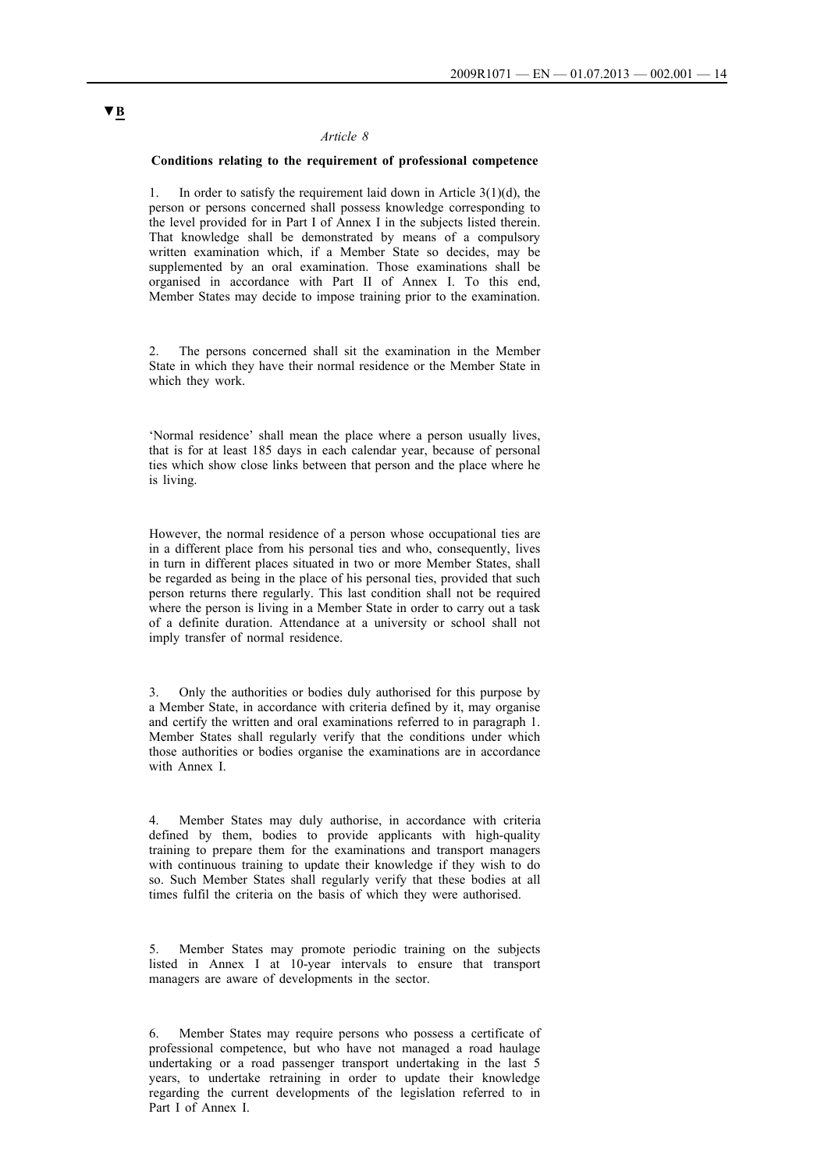### **Conditions relating to the requirement of professional competence**

In order to satisfy the requirement laid down in Article  $3(1)(d)$ , the person or persons concerned shall possess knowledge corresponding to the level provided for in Part I of Annex I in the subjects listed therein. That knowledge shall be demonstrated by means of a compulsory written examination which, if a Member State so decides, may be supplemented by an oral examination. Those examinations shall be organised in accordance with Part II of Annex I. To this end, Member States may decide to impose training prior to the examination.

The persons concerned shall sit the examination in the Member State in which they have their normal residence or the Member State in which they work.

'Normal residence' shall mean the place where a person usually lives, that is for at least 185 days in each calendar year, because of personal ties which show close links between that person and the place where he is living.

However, the normal residence of a person whose occupational ties are in a different place from his personal ties and who, consequently, lives in turn in different places situated in two or more Member States, shall be regarded as being in the place of his personal ties, provided that such person returns there regularly. This last condition shall not be required where the person is living in a Member State in order to carry out a task of a definite duration. Attendance at a university or school shall not imply transfer of normal residence.

3. Only the authorities or bodies duly authorised for this purpose by a Member State, in accordance with criteria defined by it, may organise and certify the written and oral examinations referred to in paragraph 1. Member States shall regularly verify that the conditions under which those authorities or bodies organise the examinations are in accordance with Annex I.

4. Member States may duly authorise, in accordance with criteria defined by them, bodies to provide applicants with high-quality training to prepare them for the examinations and transport managers with continuous training to update their knowledge if they wish to do so. Such Member States shall regularly verify that these bodies at all times fulfil the criteria on the basis of which they were authorised.

5. Member States may promote periodic training on the subjects listed in Annex I at 10-year intervals to ensure that transport managers are aware of developments in the sector.

6. Member States may require persons who possess a certificate of professional competence, but who have not managed a road haulage undertaking or a road passenger transport undertaking in the last 5 years, to undertake retraining in order to update their knowledge regarding the current developments of the legislation referred to in Part I of Annex I.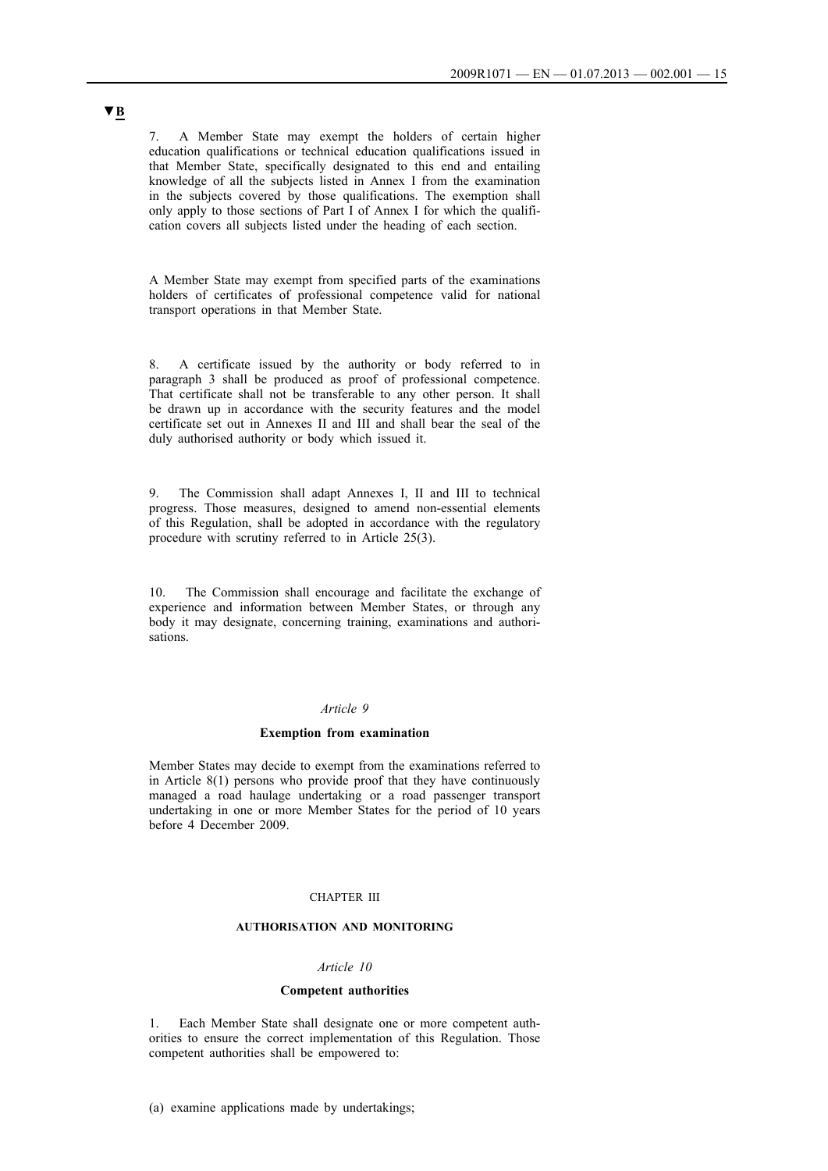7. A Member State may exempt the holders of certain higher education qualifications or technical education qualifications issued in that Member State, specifically designated to this end and entailing knowledge of all the subjects listed in Annex I from the examination in the subjects covered by those qualifications. The exemption shall only apply to those sections of Part I of Annex I for which the qualification covers all subjects listed under the heading of each section.

A Member State may exempt from specified parts of the examinations holders of certificates of professional competence valid for national transport operations in that Member State.

8. A certificate issued by the authority or body referred to in paragraph 3 shall be produced as proof of professional competence. That certificate shall not be transferable to any other person. It shall be drawn up in accordance with the security features and the model certificate set out in Annexes II and III and shall bear the seal of the duly authorised authority or body which issued it.

9. The Commission shall adapt Annexes I, II and III to technical progress. Those measures, designed to amend non-essential elements of this Regulation, shall be adopted in accordance with the regulatory procedure with scrutiny referred to in Article 25(3).

10. The Commission shall encourage and facilitate the exchange of experience and information between Member States, or through any body it may designate, concerning training, examinations and authorisations.

#### *Article 9*

#### **Exemption from examination**

Member States may decide to exempt from the examinations referred to in Article 8(1) persons who provide proof that they have continuously managed a road haulage undertaking or a road passenger transport undertaking in one or more Member States for the period of 10 years before 4 December 2009.

## CHAPTER III

## **AUTHORISATION AND MONITORING**

## *Article 10*

#### **Competent authorities**

1. Each Member State shall designate one or more competent authorities to ensure the correct implementation of this Regulation. Those competent authorities shall be empowered to:

(a) examine applications made by undertakings;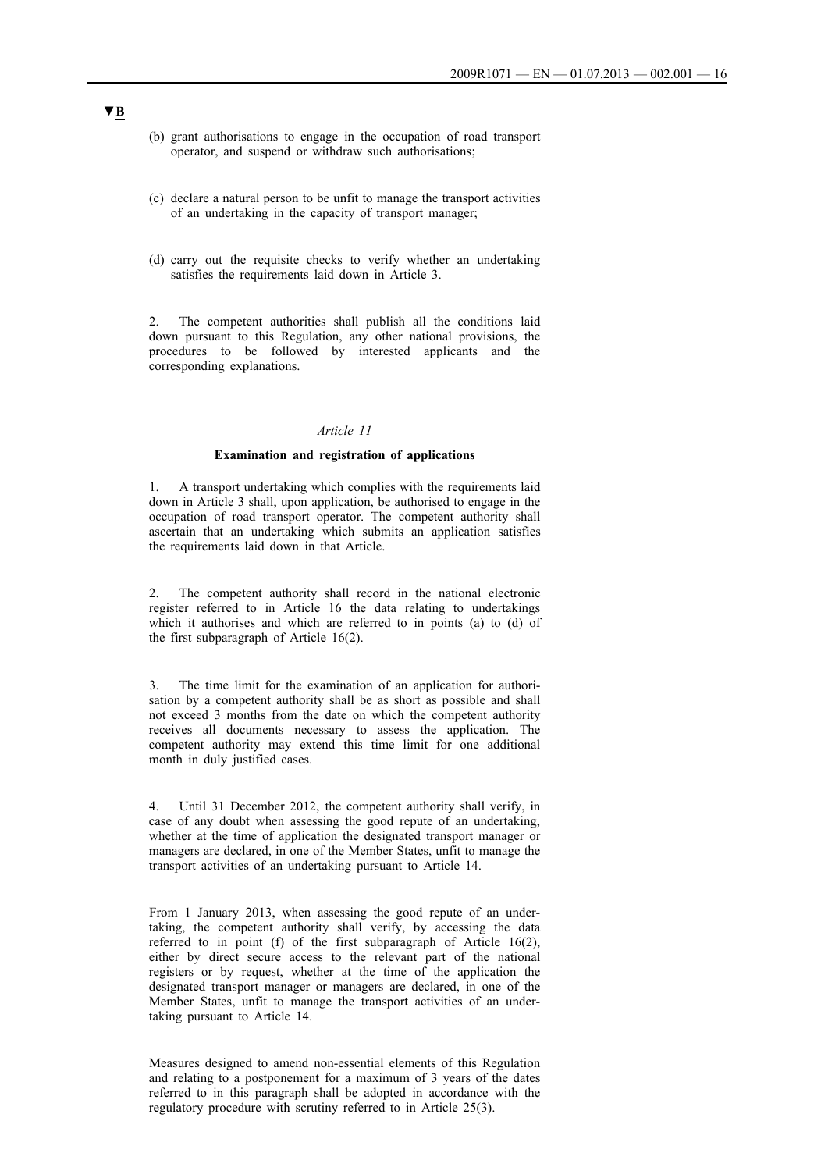- (b) grant authorisations to engage in the occupation of road transport operator, and suspend or withdraw such authorisations;
- (c) declare a natural person to be unfit to manage the transport activities of an undertaking in the capacity of transport manager;
- (d) carry out the requisite checks to verify whether an undertaking satisfies the requirements laid down in Article 3.

2. The competent authorities shall publish all the conditions laid down pursuant to this Regulation, any other national provisions, the procedures to be followed by interested applicants and the corresponding explanations.

## *Article 11*

### **Examination and registration of applications**

1. A transport undertaking which complies with the requirements laid down in Article 3 shall, upon application, be authorised to engage in the occupation of road transport operator. The competent authority shall ascertain that an undertaking which submits an application satisfies the requirements laid down in that Article.

The competent authority shall record in the national electronic register referred to in Article 16 the data relating to undertakings which it authorises and which are referred to in points (a) to (d) of the first subparagraph of Article 16(2).

3. The time limit for the examination of an application for authorisation by a competent authority shall be as short as possible and shall not exceed 3 months from the date on which the competent authority receives all documents necessary to assess the application. The competent authority may extend this time limit for one additional month in duly justified cases.

4. Until 31 December 2012, the competent authority shall verify, in case of any doubt when assessing the good repute of an undertaking, whether at the time of application the designated transport manager or managers are declared, in one of the Member States, unfit to manage the transport activities of an undertaking pursuant to Article 14.

From 1 January 2013, when assessing the good repute of an undertaking, the competent authority shall verify, by accessing the data referred to in point (f) of the first subparagraph of Article 16(2), either by direct secure access to the relevant part of the national registers or by request, whether at the time of the application the designated transport manager or managers are declared, in one of the Member States, unfit to manage the transport activities of an undertaking pursuant to Article 14.

Measures designed to amend non-essential elements of this Regulation and relating to a postponement for a maximum of 3 years of the dates referred to in this paragraph shall be adopted in accordance with the regulatory procedure with scrutiny referred to in Article 25(3).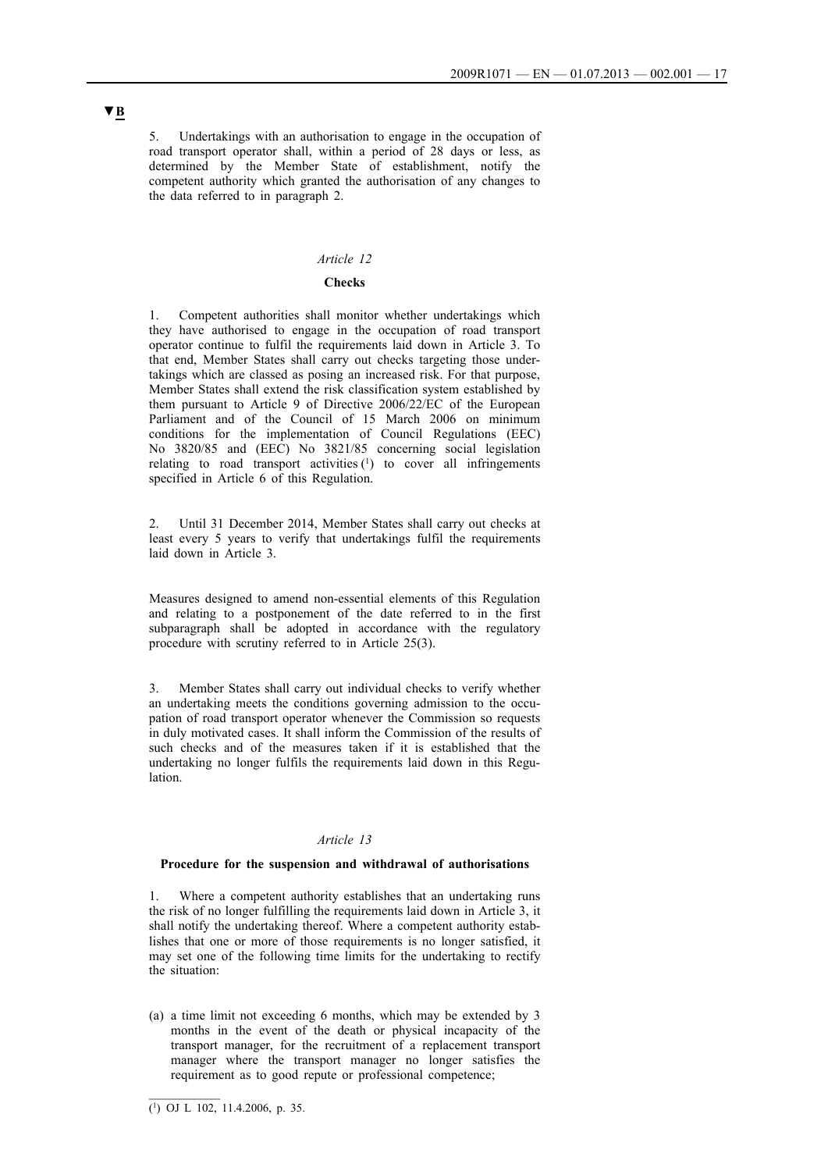5. Undertakings with an authorisation to engage in the occupation of road transport operator shall, within a period of 28 days or less, as determined by the Member State of establishment, notify the competent authority which granted the authorisation of any changes to the data referred to in paragraph 2.

## *Article 12*

### **Checks**

1. Competent authorities shall monitor whether undertakings which they have authorised to engage in the occupation of road transport operator continue to fulfil the requirements laid down in Article 3. To that end, Member States shall carry out checks targeting those undertakings which are classed as posing an increased risk. For that purpose, Member States shall extend the risk classification system established by them pursuant to Article 9 of Directive 2006/22/EC of the European Parliament and of the Council of 15 March 2006 on minimum conditions for the implementation of Council Regulations (EEC) No 3820/85 and (EEC) No 3821/85 concerning social legislation relating to road transport activities  $(1)$  to cover all infringements specified in Article 6 of this Regulation.

2. Until 31 December 2014, Member States shall carry out checks at least every 5 years to verify that undertakings fulfil the requirements laid down in Article 3.

Measures designed to amend non-essential elements of this Regulation and relating to a postponement of the date referred to in the first subparagraph shall be adopted in accordance with the regulatory procedure with scrutiny referred to in Article 25(3).

3. Member States shall carry out individual checks to verify whether an undertaking meets the conditions governing admission to the occupation of road transport operator whenever the Commission so requests in duly motivated cases. It shall inform the Commission of the results of such checks and of the measures taken if it is established that the undertaking no longer fulfils the requirements laid down in this Regulation.

### *Article 13*

## **Procedure for the suspension and withdrawal of authorisations**

Where a competent authority establishes that an undertaking runs the risk of no longer fulfilling the requirements laid down in Article 3, it shall notify the undertaking thereof. Where a competent authority establishes that one or more of those requirements is no longer satisfied, it may set one of the following time limits for the undertaking to rectify the situation:

(a) a time limit not exceeding 6 months, which may be extended by 3 months in the event of the death or physical incapacity of the transport manager, for the recruitment of a replacement transport manager where the transport manager no longer satisfies the requirement as to good repute or professional competence;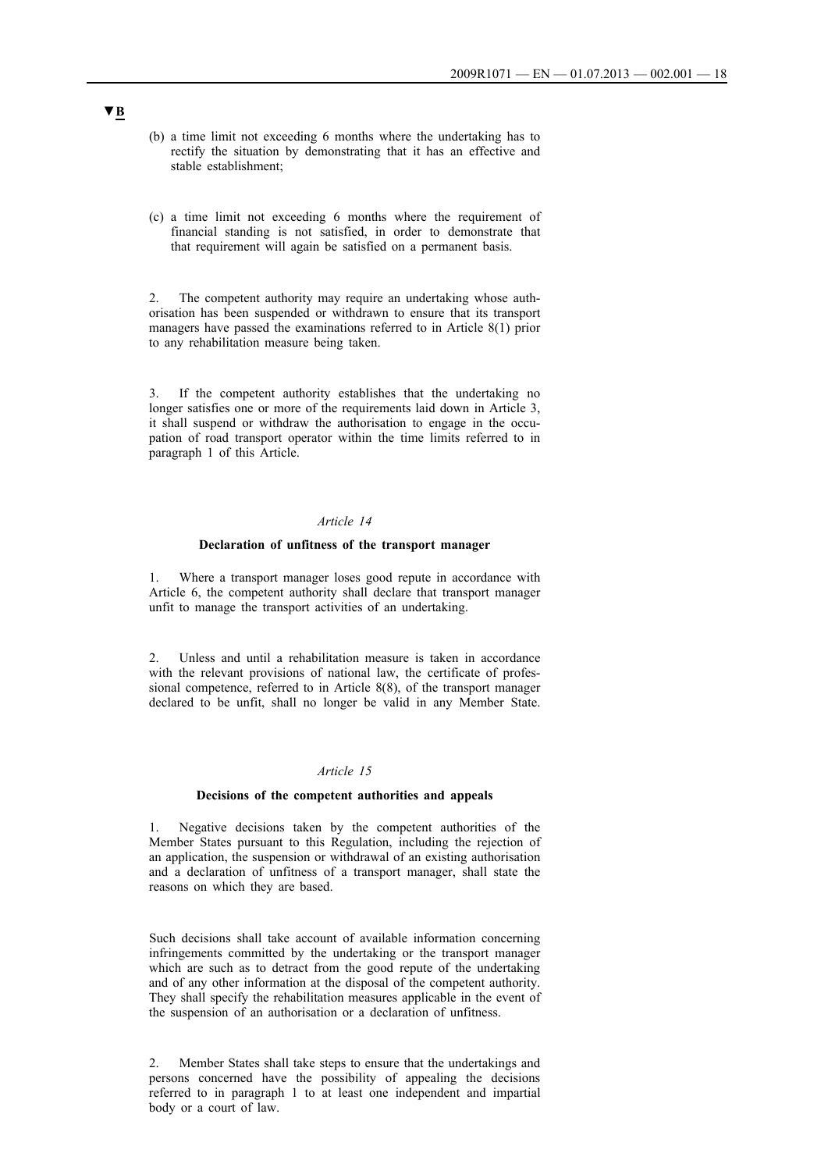- (b) a time limit not exceeding 6 months where the undertaking has to rectify the situation by demonstrating that it has an effective and stable establishment;
- (c) a time limit not exceeding 6 months where the requirement of financial standing is not satisfied, in order to demonstrate that that requirement will again be satisfied on a permanent basis.

2. The competent authority may require an undertaking whose authorisation has been suspended or withdrawn to ensure that its transport managers have passed the examinations referred to in Article 8(1) prior to any rehabilitation measure being taken.

3. If the competent authority establishes that the undertaking no longer satisfies one or more of the requirements laid down in Article 3, it shall suspend or withdraw the authorisation to engage in the occupation of road transport operator within the time limits referred to in paragraph 1 of this Article.

## *Article 14*

#### **Declaration of unfitness of the transport manager**

1. Where a transport manager loses good repute in accordance with Article 6, the competent authority shall declare that transport manager unfit to manage the transport activities of an undertaking.

2. Unless and until a rehabilitation measure is taken in accordance with the relevant provisions of national law, the certificate of professional competence, referred to in Article 8(8), of the transport manager declared to be unfit, shall no longer be valid in any Member State.

## *Article 15*

#### **Decisions of the competent authorities and appeals**

1. Negative decisions taken by the competent authorities of the Member States pursuant to this Regulation, including the rejection of an application, the suspension or withdrawal of an existing authorisation and a declaration of unfitness of a transport manager, shall state the reasons on which they are based.

Such decisions shall take account of available information concerning infringements committed by the undertaking or the transport manager which are such as to detract from the good repute of the undertaking and of any other information at the disposal of the competent authority. They shall specify the rehabilitation measures applicable in the event of the suspension of an authorisation or a declaration of unfitness.

2. Member States shall take steps to ensure that the undertakings and persons concerned have the possibility of appealing the decisions referred to in paragraph 1 to at least one independent and impartial body or a court of law.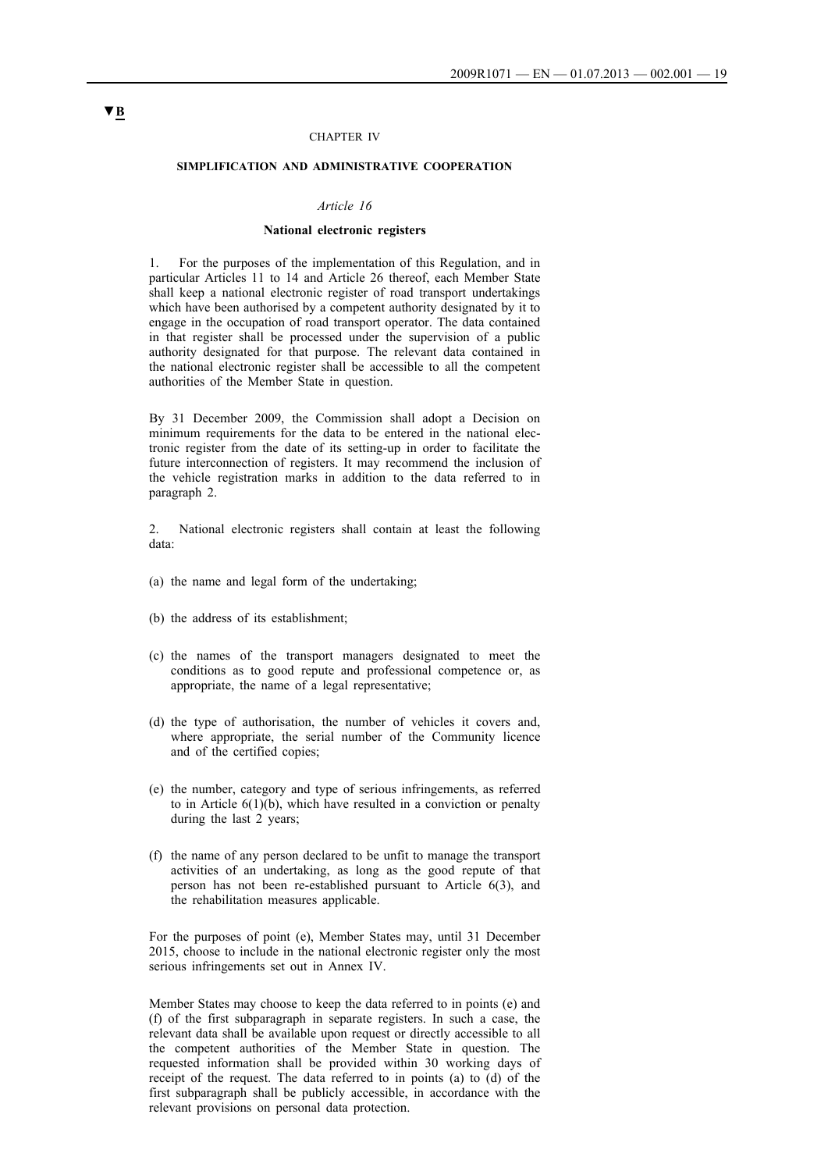#### CHAPTER IV

#### **SIMPLIFICATION AND ADMINISTRATIVE COOPERATION**

#### *Article 16*

### **National electronic registers**

1. For the purposes of the implementation of this Regulation, and in particular Articles 11 to 14 and Article 26 thereof, each Member State shall keep a national electronic register of road transport undertakings which have been authorised by a competent authority designated by it to engage in the occupation of road transport operator. The data contained in that register shall be processed under the supervision of a public authority designated for that purpose. The relevant data contained in the national electronic register shall be accessible to all the competent authorities of the Member State in question.

By 31 December 2009, the Commission shall adopt a Decision on minimum requirements for the data to be entered in the national electronic register from the date of its setting-up in order to facilitate the future interconnection of registers. It may recommend the inclusion of the vehicle registration marks in addition to the data referred to in paragraph 2.

2. National electronic registers shall contain at least the following data:

- (a) the name and legal form of the undertaking;
- (b) the address of its establishment;
- (c) the names of the transport managers designated to meet the conditions as to good repute and professional competence or, as appropriate, the name of a legal representative;
- (d) the type of authorisation, the number of vehicles it covers and, where appropriate, the serial number of the Community licence and of the certified copies;
- (e) the number, category and type of serious infringements, as referred to in Article  $6(1)(b)$ , which have resulted in a conviction or penalty during the last 2 years;
- (f) the name of any person declared to be unfit to manage the transport activities of an undertaking, as long as the good repute of that person has not been re-established pursuant to Article 6(3), and the rehabilitation measures applicable.

For the purposes of point (e), Member States may, until 31 December 2015, choose to include in the national electronic register only the most serious infringements set out in Annex IV.

Member States may choose to keep the data referred to in points (e) and (f) of the first subparagraph in separate registers. In such a case, the relevant data shall be available upon request or directly accessible to all the competent authorities of the Member State in question. The requested information shall be provided within 30 working days of receipt of the request. The data referred to in points (a) to (d) of the first subparagraph shall be publicly accessible, in accordance with the relevant provisions on personal data protection.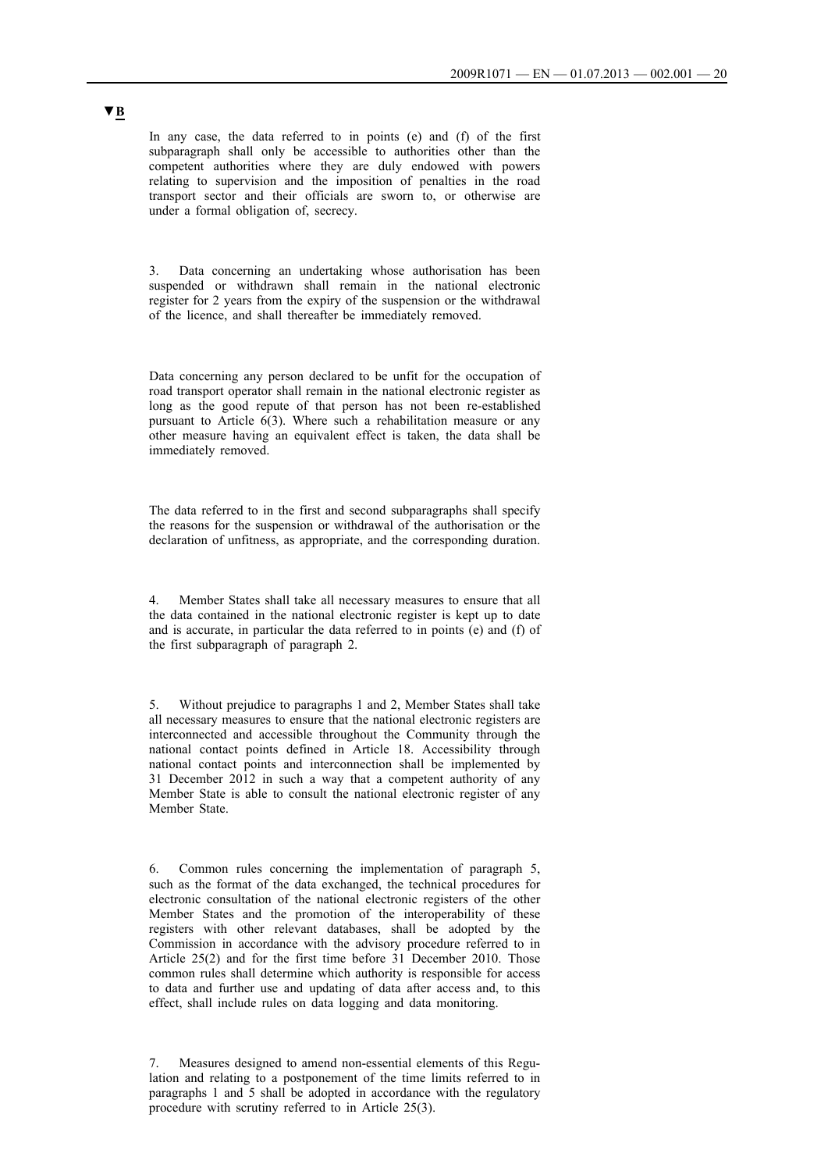In any case, the data referred to in points (e) and (f) of the first subparagraph shall only be accessible to authorities other than the competent authorities where they are duly endowed with powers relating to supervision and the imposition of penalties in the road transport sector and their officials are sworn to, or otherwise are under a formal obligation of, secrecy.

Data concerning an undertaking whose authorisation has been suspended or withdrawn shall remain in the national electronic register for 2 years from the expiry of the suspension or the withdrawal of the licence, and shall thereafter be immediately removed.

Data concerning any person declared to be unfit for the occupation of road transport operator shall remain in the national electronic register as long as the good repute of that person has not been re-established pursuant to Article  $6(3)$ . Where such a rehabilitation measure or any other measure having an equivalent effect is taken, the data shall be immediately removed.

The data referred to in the first and second subparagraphs shall specify the reasons for the suspension or withdrawal of the authorisation or the declaration of unfitness, as appropriate, and the corresponding duration.

4. Member States shall take all necessary measures to ensure that all the data contained in the national electronic register is kept up to date and is accurate, in particular the data referred to in points (e) and (f) of the first subparagraph of paragraph 2.

5. Without prejudice to paragraphs 1 and 2, Member States shall take all necessary measures to ensure that the national electronic registers are interconnected and accessible throughout the Community through the national contact points defined in Article 18. Accessibility through national contact points and interconnection shall be implemented by 31 December 2012 in such a way that a competent authority of any Member State is able to consult the national electronic register of any Member State.

6. Common rules concerning the implementation of paragraph 5, such as the format of the data exchanged, the technical procedures for electronic consultation of the national electronic registers of the other Member States and the promotion of the interoperability of these registers with other relevant databases, shall be adopted by the Commission in accordance with the advisory procedure referred to in Article 25(2) and for the first time before 31 December 2010. Those common rules shall determine which authority is responsible for access to data and further use and updating of data after access and, to this effect, shall include rules on data logging and data monitoring.

7. Measures designed to amend non-essential elements of this Regulation and relating to a postponement of the time limits referred to in paragraphs 1 and 5 shall be adopted in accordance with the regulatory procedure with scrutiny referred to in Article 25(3).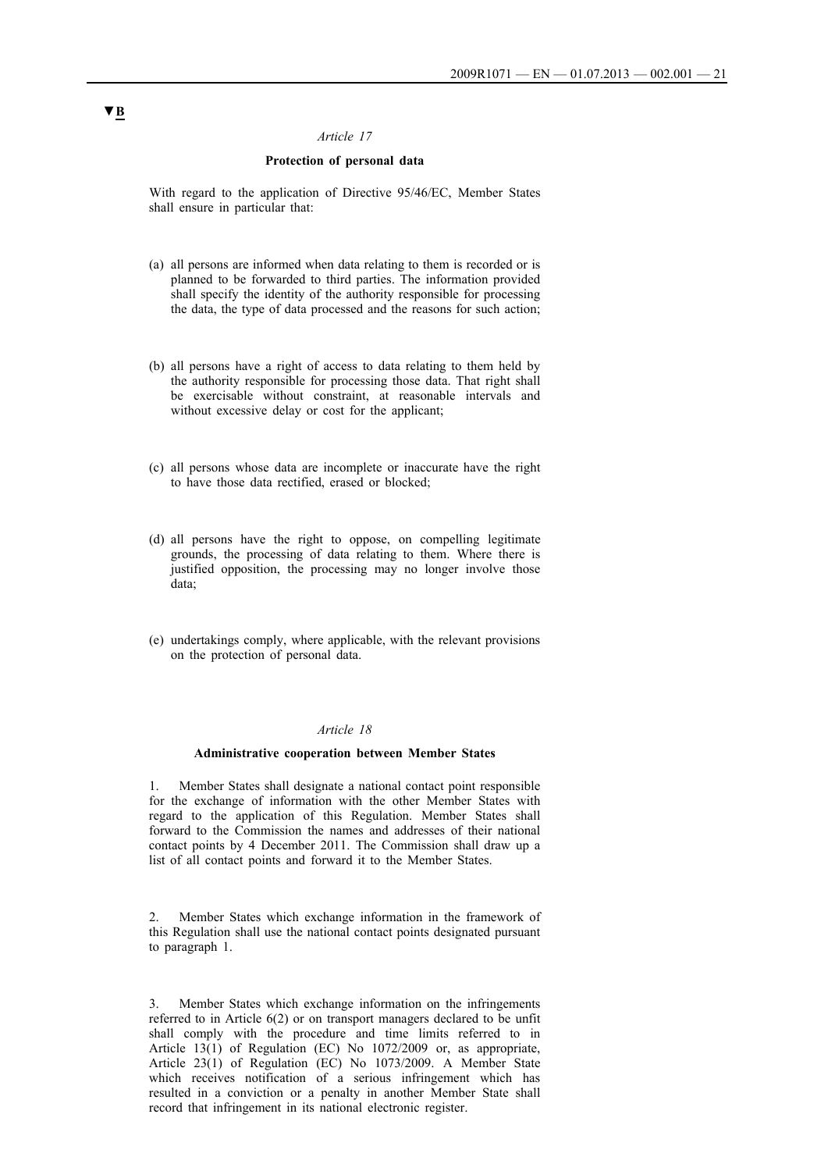## **Protection of personal data**

With regard to the application of Directive 95/46/EC, Member States shall ensure in particular that:

- (a) all persons are informed when data relating to them is recorded or is planned to be forwarded to third parties. The information provided shall specify the identity of the authority responsible for processing the data, the type of data processed and the reasons for such action;
- (b) all persons have a right of access to data relating to them held by the authority responsible for processing those data. That right shall be exercisable without constraint, at reasonable intervals and without excessive delay or cost for the applicant;
- (c) all persons whose data are incomplete or inaccurate have the right to have those data rectified, erased or blocked;
- (d) all persons have the right to oppose, on compelling legitimate grounds, the processing of data relating to them. Where there is justified opposition, the processing may no longer involve those data;
- (e) undertakings comply, where applicable, with the relevant provisions on the protection of personal data.

## *Article 18*

## **Administrative cooperation between Member States**

1. Member States shall designate a national contact point responsible for the exchange of information with the other Member States with regard to the application of this Regulation. Member States shall forward to the Commission the names and addresses of their national contact points by 4 December 2011. The Commission shall draw up a list of all contact points and forward it to the Member States.

2. Member States which exchange information in the framework of this Regulation shall use the national contact points designated pursuant to paragraph 1.

3. Member States which exchange information on the infringements referred to in Article 6(2) or on transport managers declared to be unfit shall comply with the procedure and time limits referred to in Article 13(1) of Regulation (EC) No 1072/2009 or, as appropriate, Article 23(1) of Regulation (EC) No 1073/2009. A Member State which receives notification of a serious infringement which has resulted in a conviction or a penalty in another Member State shall record that infringement in its national electronic register.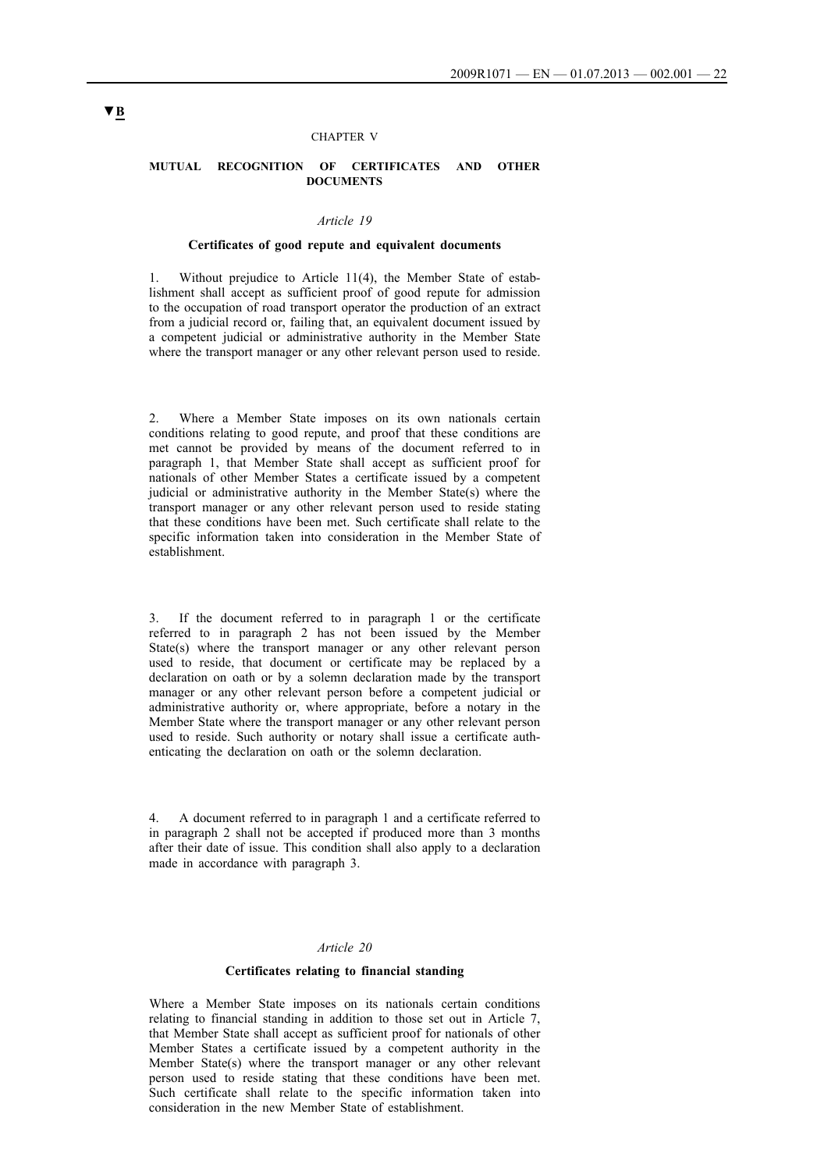#### CHAPTER V

#### **MUTUAL RECOGNITION OF CERTIFICATES AND OTHER DOCUMENTS**

## *Article 19*

#### **Certificates of good repute and equivalent documents**

1. Without prejudice to Article 11(4), the Member State of establishment shall accept as sufficient proof of good repute for admission to the occupation of road transport operator the production of an extract from a judicial record or, failing that, an equivalent document issued by a competent judicial or administrative authority in the Member State where the transport manager or any other relevant person used to reside.

2. Where a Member State imposes on its own nationals certain conditions relating to good repute, and proof that these conditions are met cannot be provided by means of the document referred to in paragraph 1, that Member State shall accept as sufficient proof for nationals of other Member States a certificate issued by a competent judicial or administrative authority in the Member State(s) where the transport manager or any other relevant person used to reside stating that these conditions have been met. Such certificate shall relate to the specific information taken into consideration in the Member State of establishment.

3. If the document referred to in paragraph 1 or the certificate referred to in paragraph 2 has not been issued by the Member State(s) where the transport manager or any other relevant person used to reside, that document or certificate may be replaced by a declaration on oath or by a solemn declaration made by the transport manager or any other relevant person before a competent judicial or administrative authority or, where appropriate, before a notary in the Member State where the transport manager or any other relevant person used to reside. Such authority or notary shall issue a certificate authenticating the declaration on oath or the solemn declaration.

4. A document referred to in paragraph 1 and a certificate referred to in paragraph 2 shall not be accepted if produced more than 3 months after their date of issue. This condition shall also apply to a declaration made in accordance with paragraph 3.

#### *Article 20*

#### **Certificates relating to financial standing**

Where a Member State imposes on its nationals certain conditions relating to financial standing in addition to those set out in Article 7, that Member State shall accept as sufficient proof for nationals of other Member States a certificate issued by a competent authority in the Member State(s) where the transport manager or any other relevant person used to reside stating that these conditions have been met. Such certificate shall relate to the specific information taken into consideration in the new Member State of establishment.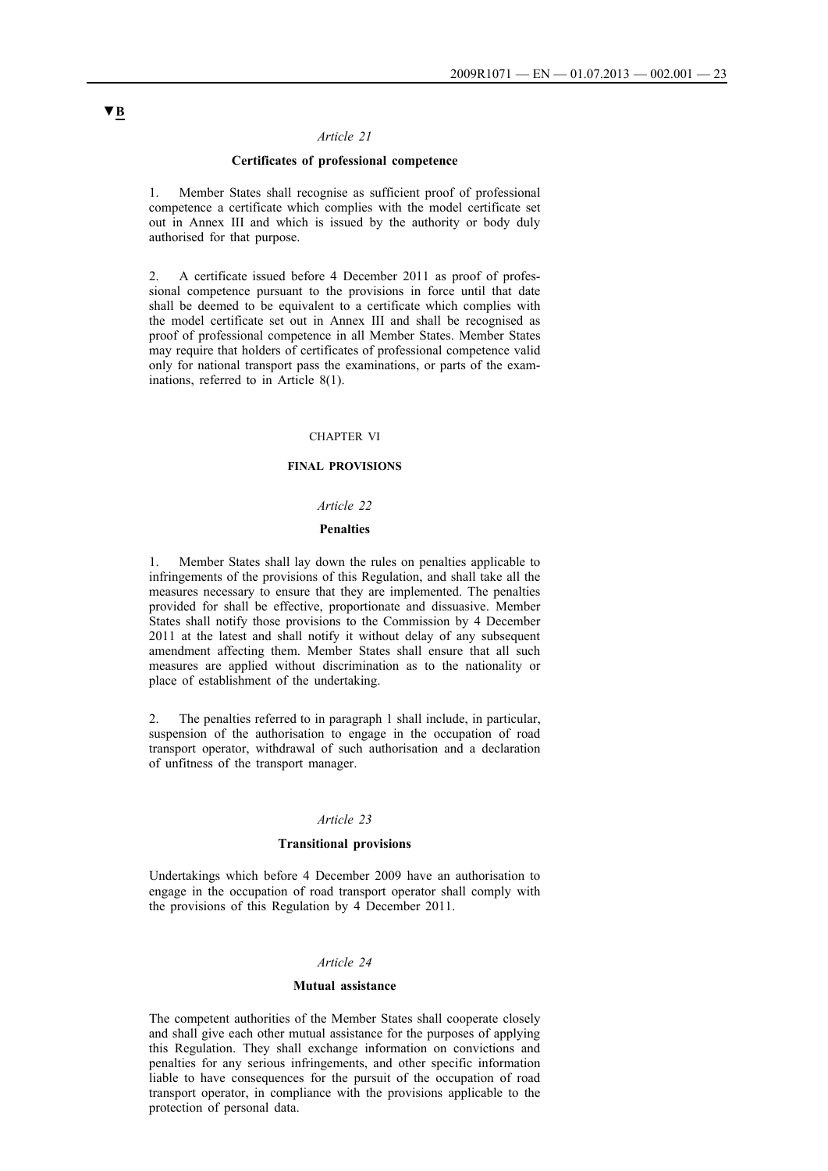## **Certificates of professional competence**

1. Member States shall recognise as sufficient proof of professional competence a certificate which complies with the model certificate set out in Annex III and which is issued by the authority or body duly authorised for that purpose.

2. A certificate issued before 4 December 2011 as proof of professional competence pursuant to the provisions in force until that date shall be deemed to be equivalent to a certificate which complies with the model certificate set out in Annex III and shall be recognised as proof of professional competence in all Member States. Member States may require that holders of certificates of professional competence valid only for national transport pass the examinations, or parts of the examinations, referred to in Article 8(1).

#### CHAPTER VI

## **FINAL PROVISIONS**

#### *Article 22*

#### **Penalties**

1. Member States shall lay down the rules on penalties applicable to infringements of the provisions of this Regulation, and shall take all the measures necessary to ensure that they are implemented. The penalties provided for shall be effective, proportionate and dissuasive. Member States shall notify those provisions to the Commission by 4 December 2011 at the latest and shall notify it without delay of any subsequent amendment affecting them. Member States shall ensure that all such measures are applied without discrimination as to the nationality or place of establishment of the undertaking.

2. The penalties referred to in paragraph 1 shall include, in particular, suspension of the authorisation to engage in the occupation of road transport operator, withdrawal of such authorisation and a declaration of unfitness of the transport manager.

#### *Article 23*

## **Transitional provisions**

Undertakings which before 4 December 2009 have an authorisation to engage in the occupation of road transport operator shall comply with the provisions of this Regulation by 4 December 2011.

#### *Article 24*

#### **Mutual assistance**

The competent authorities of the Member States shall cooperate closely and shall give each other mutual assistance for the purposes of applying this Regulation. They shall exchange information on convictions and penalties for any serious infringements, and other specific information liable to have consequences for the pursuit of the occupation of road transport operator, in compliance with the provisions applicable to the protection of personal data.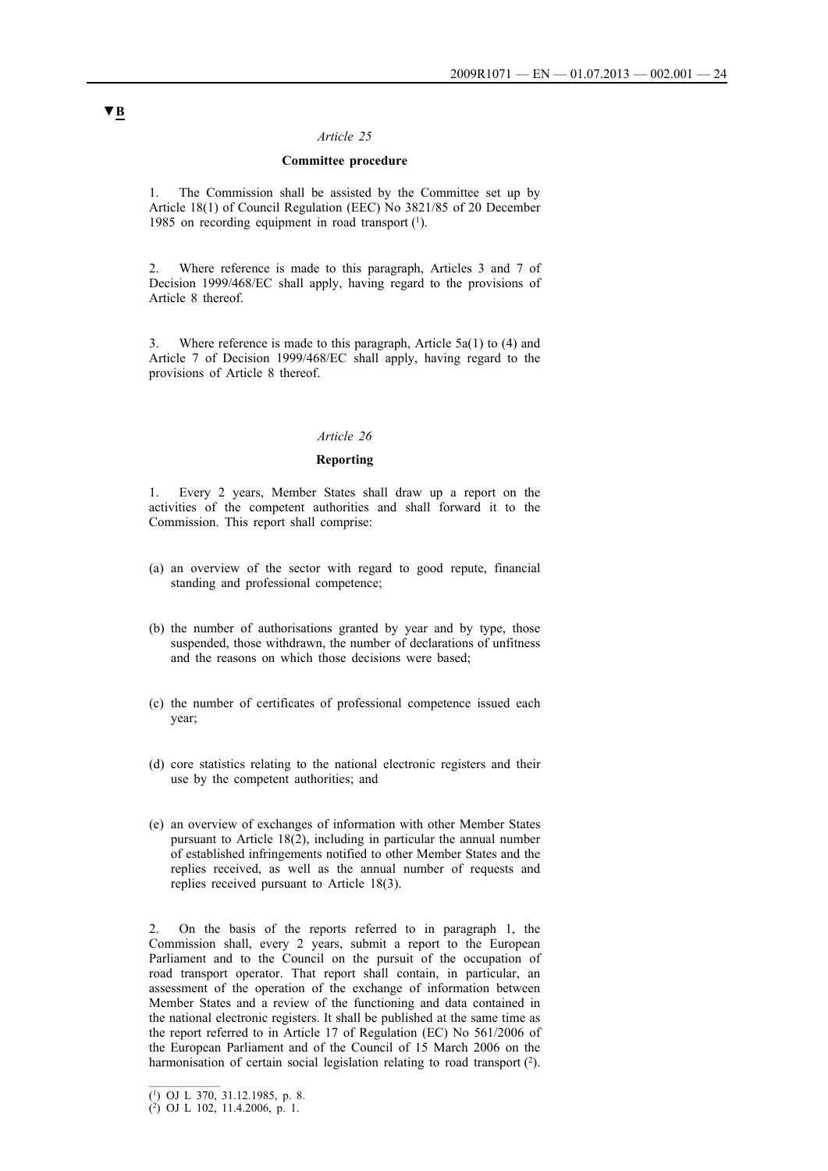### **Committee procedure**

1. The Commission shall be assisted by the Committee set up by Article 18(1) of Council Regulation (EEC) No 3821/85 of 20 December 1985 on recording equipment in road transport  $(1)$ .

2. Where reference is made to this paragraph, Articles 3 and 7 of Decision 1999/468/EC shall apply, having regard to the provisions of Article 8 thereof.

3. Where reference is made to this paragraph, Article 5a(1) to (4) and Article 7 of Decision 1999/468/EC shall apply, having regard to the provisions of Article 8 thereof.

#### *Article 26*

### **Reporting**

1. Every 2 years, Member States shall draw up a report on the activities of the competent authorities and shall forward it to the Commission. This report shall comprise:

- (a) an overview of the sector with regard to good repute, financial standing and professional competence;
- (b) the number of authorisations granted by year and by type, those suspended, those withdrawn, the number of declarations of unfitness and the reasons on which those decisions were based;
- (c) the number of certificates of professional competence issued each year;
- (d) core statistics relating to the national electronic registers and their use by the competent authorities; and
- (e) an overview of exchanges of information with other Member States pursuant to Article 18(2), including in particular the annual number of established infringements notified to other Member States and the replies received, as well as the annual number of requests and replies received pursuant to Article 18(3).

2. On the basis of the reports referred to in paragraph 1, the Commission shall, every 2 years, submit a report to the European Parliament and to the Council on the pursuit of the occupation of road transport operator. That report shall contain, in particular, an assessment of the operation of the exchange of information between Member States and a review of the functioning and data contained in the national electronic registers. It shall be published at the same time as the report referred to in Article 17 of Regulation (EC) No 561/2006 of the European Parliament and of the Council of 15 March 2006 on the harmonisation of certain social legislation relating to road transport (2).

<sup>(1)</sup> OJ L 370, 31.12.1985, p. 8.

<sup>(2)</sup> OJ L 102, 11.4.2006, p. 1.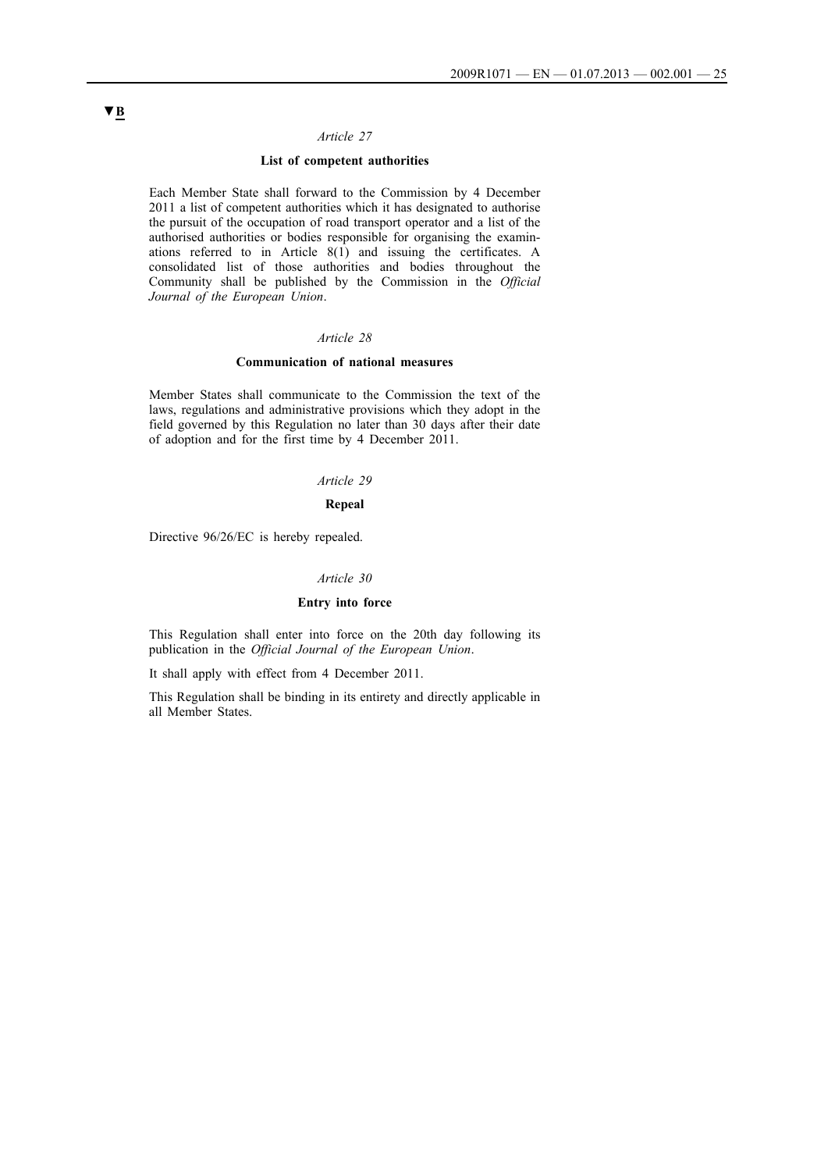## **List of competent authorities**

Each Member State shall forward to the Commission by 4 December 2011 a list of competent authorities which it has designated to authorise the pursuit of the occupation of road transport operator and a list of the authorised authorities or bodies responsible for organising the examinations referred to in Article 8(1) and issuing the certificates. A consolidated list of those authorities and bodies throughout the Community shall be published by the Commission in the *Official Journal of the European Union*.

#### *Article 28*

#### **Communication of national measures**

Member States shall communicate to the Commission the text of the laws, regulations and administrative provisions which they adopt in the field governed by this Regulation no later than 30 days after their date of adoption and for the first time by 4 December 2011.

### *Article 29*

### **Repeal**

Directive 96/26/EC is hereby repealed.

#### *Article 30*

## **Entry into force**

This Regulation shall enter into force on the 20th day following its publication in the *Official Journal of the European Union*.

It shall apply with effect from 4 December 2011.

This Regulation shall be binding in its entirety and directly applicable in all Member States.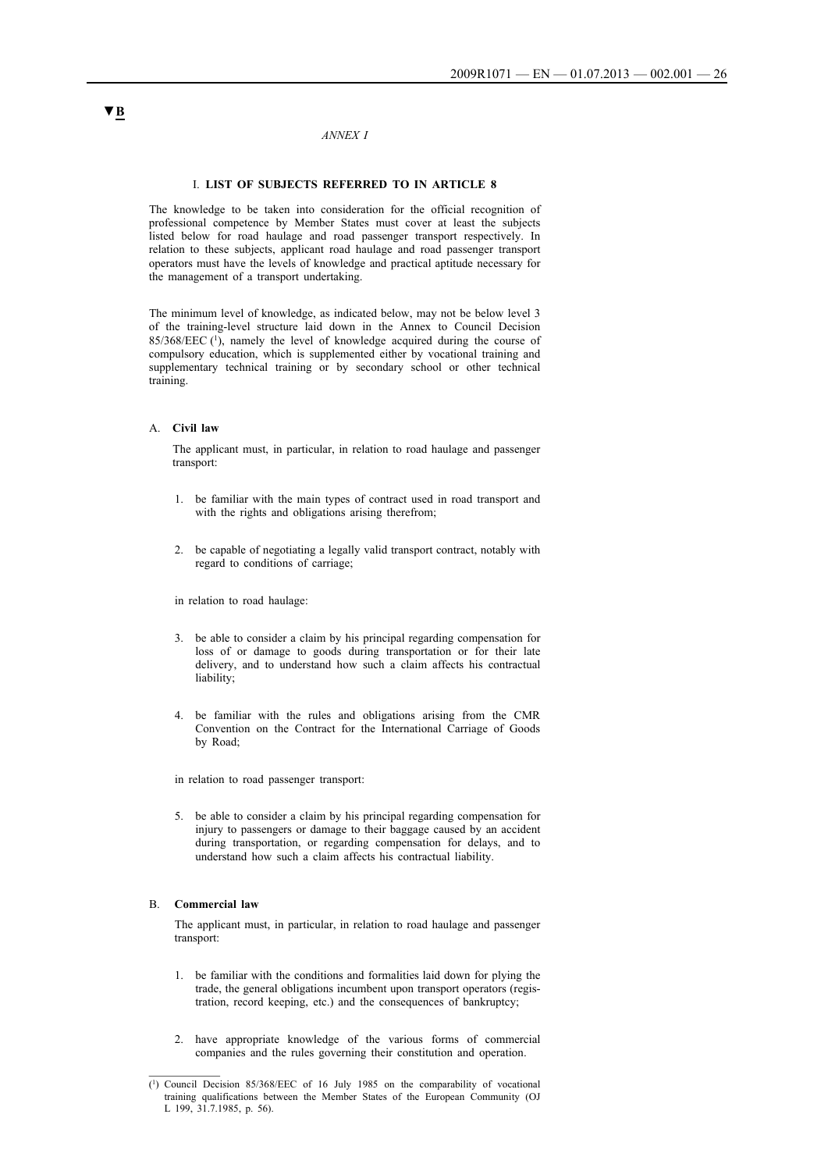#### *ANNEX I*

#### I. **LIST OF SUBJECTS REFERRED TO IN ARTICLE 8**

The knowledge to be taken into consideration for the official recognition of professional competence by Member States must cover at least the subjects listed below for road haulage and road passenger transport respectively. In relation to these subjects, applicant road haulage and road passenger transport operators must have the levels of knowledge and practical aptitude necessary for the management of a transport undertaking.

The minimum level of knowledge, as indicated below, may not be below level 3 of the training-level structure laid down in the Annex to Council Decision  $85/368/EEC$  (1), namely the level of knowledge acquired during the course of compulsory education, which is supplemented either by vocational training and supplementary technical training or by secondary school or other technical training.

### A. **Civil law**

The applicant must, in particular, in relation to road haulage and passenger transport:

- 1. be familiar with the main types of contract used in road transport and with the rights and obligations arising therefrom;
- 2. be capable of negotiating a legally valid transport contract, notably with regard to conditions of carriage;

in relation to road haulage:

- 3. be able to consider a claim by his principal regarding compensation for loss of or damage to goods during transportation or for their late delivery, and to understand how such a claim affects his contractual liability;
- 4. be familiar with the rules and obligations arising from the CMR Convention on the Contract for the International Carriage of Goods by Road;

in relation to road passenger transport:

5. be able to consider a claim by his principal regarding compensation for injury to passengers or damage to their baggage caused by an accident during transportation, or regarding compensation for delays, and to understand how such a claim affects his contractual liability.

#### B. **Commercial law**

The applicant must, in particular, in relation to road haulage and passenger transport:

- 1. be familiar with the conditions and formalities laid down for plying the trade, the general obligations incumbent upon transport operators (registration, record keeping, etc.) and the consequences of bankruptcy;
- 2. have appropriate knowledge of the various forms of commercial companies and the rules governing their constitution and operation.

<sup>(1)</sup> Council Decision 85/368/EEC of 16 July 1985 on the comparability of vocational training qualifications between the Member States of the European Community (OJ L 199, 31.7.1985, p. 56).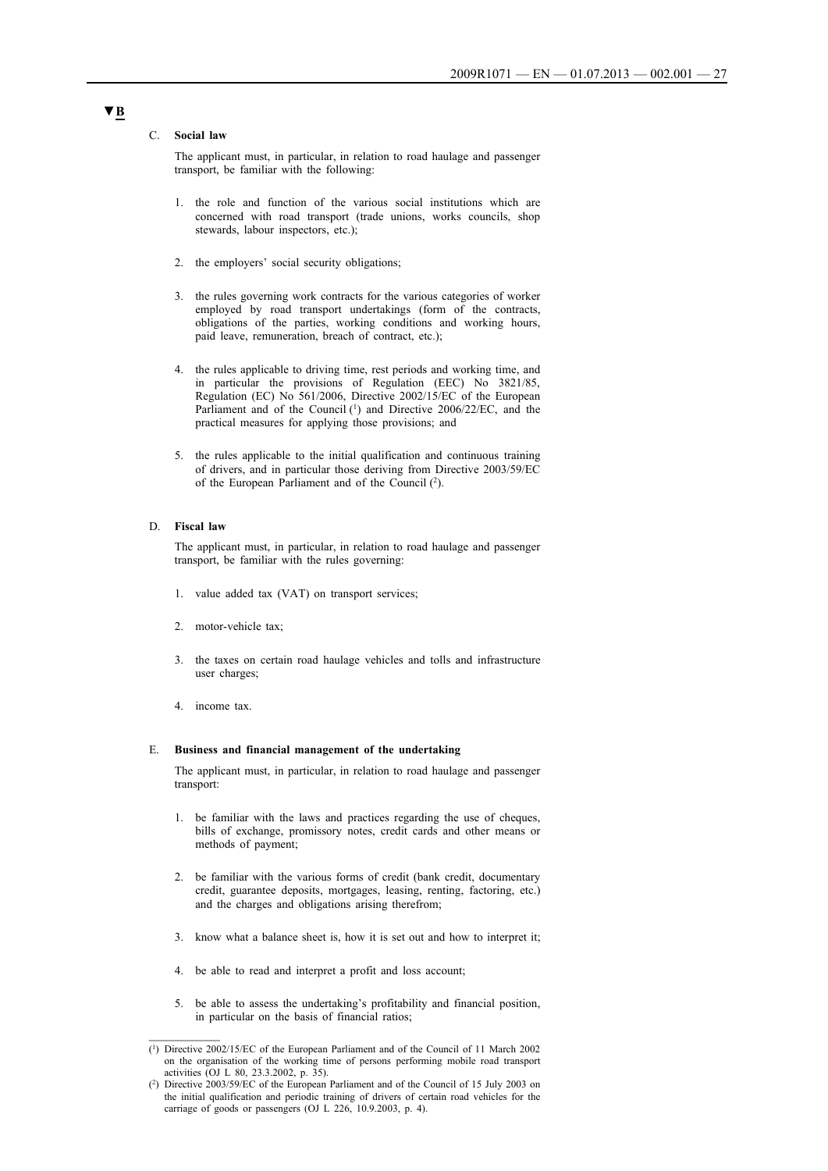#### C. **Social law**

The applicant must, in particular, in relation to road haulage and passenger transport, be familiar with the following:

- 1. the role and function of the various social institutions which are concerned with road transport (trade unions, works councils, shop stewards, labour inspectors, etc.);
- 2. the employers' social security obligations;
- 3. the rules governing work contracts for the various categories of worker employed by road transport undertakings (form of the contracts, obligations of the parties, working conditions and working hours, paid leave, remuneration, breach of contract, etc.);
- 4. the rules applicable to driving time, rest periods and working time, and in particular the provisions of Regulation (EEC) No 3821/85, Regulation (EC) No 561/2006, Directive 2002/15/EC of the European Parliament and of the Council (1) and Directive 2006/22/EC, and the practical measures for applying those provisions; and
- 5. the rules applicable to the initial qualification and continuous training of drivers, and in particular those deriving from Directive 2003/59/EC of the European Parliament and of the Council (2).

### D. **Fiscal law**

The applicant must, in particular, in relation to road haulage and passenger transport, be familiar with the rules governing:

- 1. value added tax (VAT) on transport services;
- 2. motor-vehicle tax;
- 3. the taxes on certain road haulage vehicles and tolls and infrastructure user charges;
- 4. income tax.

#### E. **Business and financial management of the undertaking**

The applicant must, in particular, in relation to road haulage and passenger transport:

- 1. be familiar with the laws and practices regarding the use of cheques, bills of exchange, promissory notes, credit cards and other means or methods of payment;
- 2. be familiar with the various forms of credit (bank credit, documentary credit, guarantee deposits, mortgages, leasing, renting, factoring, etc.) and the charges and obligations arising therefrom;
- 3. know what a balance sheet is, how it is set out and how to interpret it;
- 4. be able to read and interpret a profit and loss account;
- 5. be able to assess the undertaking's profitability and financial position, in particular on the basis of financial ratios;

<sup>(1)</sup> Directive 2002/15/EC of the European Parliament and of the Council of 11 March 2002 on the organisation of the working time of persons performing mobile road transport activities (OJ L 80, 23.3.2002, p. 35).

<sup>(2)</sup> Directive 2003/59/EC of the European Parliament and of the Council of 15 July 2003 on the initial qualification and periodic training of drivers of certain road vehicles for the carriage of goods or passengers (OJ L 226, 10.9.2003, p. 4).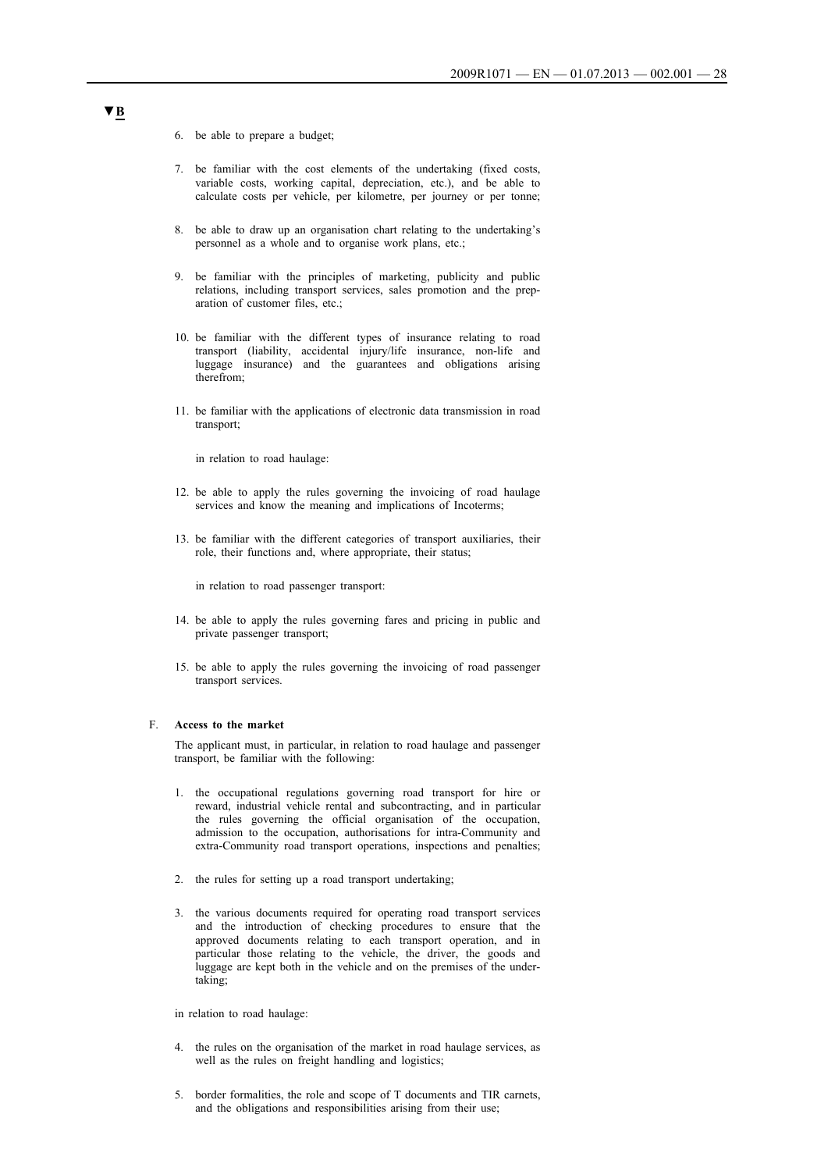- 6. be able to prepare a budget;
- 7. be familiar with the cost elements of the undertaking (fixed costs, variable costs, working capital, depreciation, etc.), and be able to calculate costs per vehicle, per kilometre, per journey or per tonne;
- 8. be able to draw up an organisation chart relating to the undertaking's personnel as a whole and to organise work plans, etc.;
- 9. be familiar with the principles of marketing, publicity and public relations, including transport services, sales promotion and the preparation of customer files, etc.;
- 10. be familiar with the different types of insurance relating to road transport (liability, accidental injury/life insurance, non-life and luggage insurance) and the guarantees and obligations arising therefrom;
- 11. be familiar with the applications of electronic data transmission in road transport;

in relation to road haulage:

- 12. be able to apply the rules governing the invoicing of road haulage services and know the meaning and implications of Incoterms;
- 13. be familiar with the different categories of transport auxiliaries, their role, their functions and, where appropriate, their status;

in relation to road passenger transport:

- 14. be able to apply the rules governing fares and pricing in public and private passenger transport;
- 15. be able to apply the rules governing the invoicing of road passenger transport services.

#### F. **Access to the market**

The applicant must, in particular, in relation to road haulage and passenger transport, be familiar with the following:

- 1. the occupational regulations governing road transport for hire or reward, industrial vehicle rental and subcontracting, and in particular the rules governing the official organisation of the occupation, admission to the occupation, authorisations for intra-Community and extra-Community road transport operations, inspections and penalties;
- 2. the rules for setting up a road transport undertaking;
- 3. the various documents required for operating road transport services and the introduction of checking procedures to ensure that the approved documents relating to each transport operation, and in particular those relating to the vehicle, the driver, the goods and luggage are kept both in the vehicle and on the premises of the undertaking;

in relation to road haulage:

- 4. the rules on the organisation of the market in road haulage services, as well as the rules on freight handling and logistics;
- 5. border formalities, the role and scope of T documents and TIR carnets, and the obligations and responsibilities arising from their use;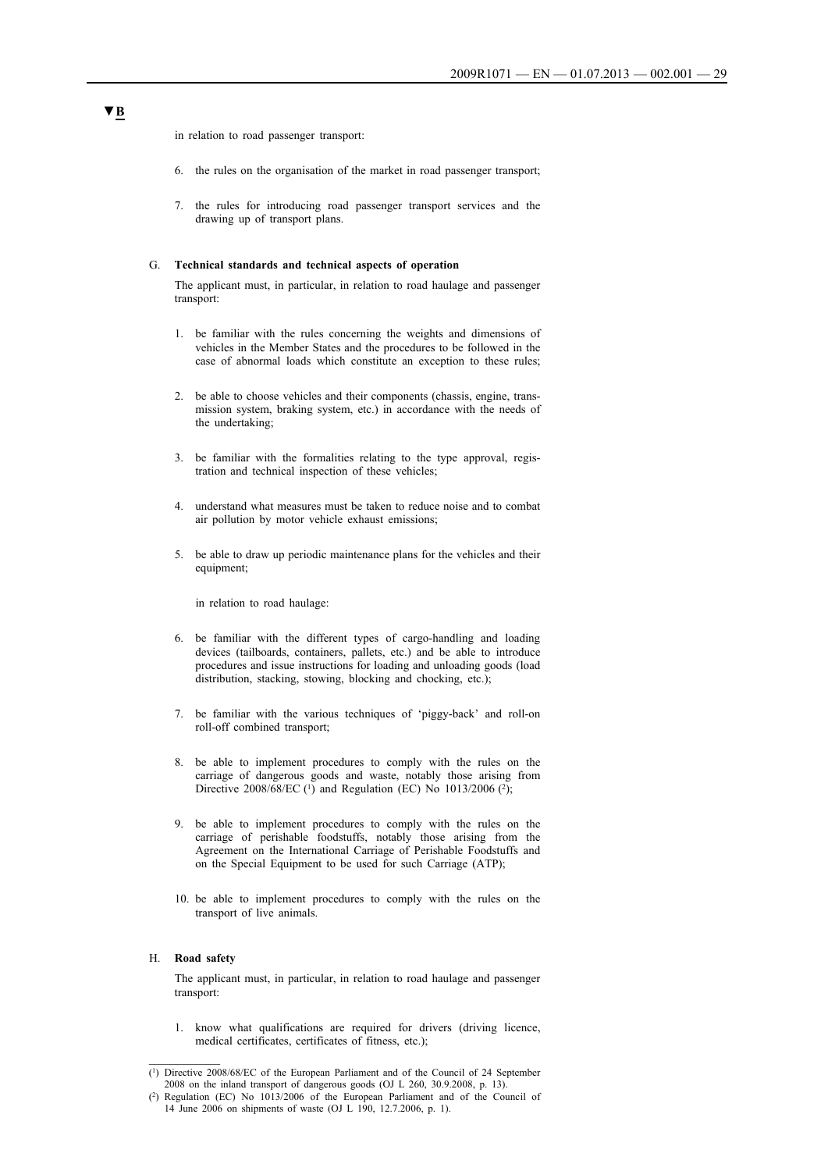in relation to road passenger transport:

- 6. the rules on the organisation of the market in road passenger transport;
- 7. the rules for introducing road passenger transport services and the drawing up of transport plans.

#### G. **Technical standards and technical aspects of operation**

The applicant must, in particular, in relation to road haulage and passenger transport:

- 1. be familiar with the rules concerning the weights and dimensions of vehicles in the Member States and the procedures to be followed in the case of abnormal loads which constitute an exception to these rules;
- 2. be able to choose vehicles and their components (chassis, engine, transmission system, braking system, etc.) in accordance with the needs of the undertaking;
- 3. be familiar with the formalities relating to the type approval, registration and technical inspection of these vehicles;
- 4. understand what measures must be taken to reduce noise and to combat air pollution by motor vehicle exhaust emissions;
- 5. be able to draw up periodic maintenance plans for the vehicles and their equipment;

in relation to road haulage:

- 6. be familiar with the different types of cargo-handling and loading devices (tailboards, containers, pallets, etc.) and be able to introduce procedures and issue instructions for loading and unloading goods (load distribution, stacking, stowing, blocking and chocking, etc.);
- 7. be familiar with the various techniques of 'piggy-back' and roll-on roll-off combined transport;
- 8. be able to implement procedures to comply with the rules on the carriage of dangerous goods and waste, notably those arising from Directive 2008/68/EC  $(1)$  and Regulation (EC) No 1013/2006  $(2)$ ;
- 9. be able to implement procedures to comply with the rules on the carriage of perishable foodstuffs, notably those arising from the Agreement on the International Carriage of Perishable Foodstuffs and on the Special Equipment to be used for such Carriage (ATP);
- 10. be able to implement procedures to comply with the rules on the transport of live animals.

#### H. **Road safety**

The applicant must, in particular, in relation to road haulage and passenger transport:

1. know what qualifications are required for drivers (driving licence, medical certificates, certificates of fitness, etc.);

<sup>(1)</sup> Directive 2008/68/EC of the European Parliament and of the Council of 24 September 2008 on the inland transport of dangerous goods (OJ L 260, 30.9.2008, p. 13).

<sup>(2)</sup> Regulation (EC) No 1013/2006 of the European Parliament and of the Council of 14 June 2006 on shipments of waste (OJ L 190, 12.7.2006, p. 1).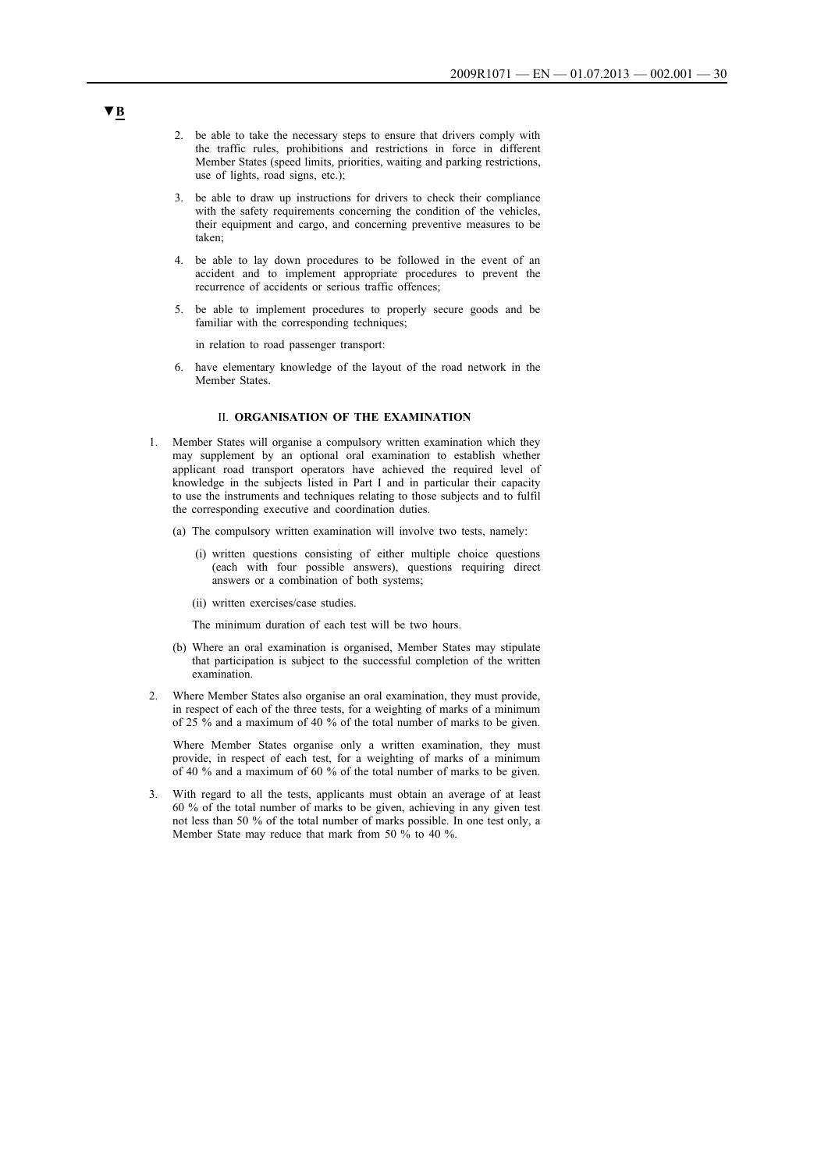- 2. be able to take the necessary steps to ensure that drivers comply with the traffic rules, prohibitions and restrictions in force in different Member States (speed limits, priorities, waiting and parking restrictions, use of lights, road signs, etc.);
- 3. be able to draw up instructions for drivers to check their compliance with the safety requirements concerning the condition of the vehicles, their equipment and cargo, and concerning preventive measures to be taken;
- 4. be able to lay down procedures to be followed in the event of an accident and to implement appropriate procedures to prevent the recurrence of accidents or serious traffic offences;
- 5. be able to implement procedures to properly secure goods and be familiar with the corresponding techniques;

in relation to road passenger transport:

6. have elementary knowledge of the layout of the road network in the Member States.

#### II. **ORGANISATION OF THE EXAMINATION**

- 1. Member States will organise a compulsory written examination which they may supplement by an optional oral examination to establish whether applicant road transport operators have achieved the required level of knowledge in the subjects listed in Part I and in particular their capacity to use the instruments and techniques relating to those subjects and to fulfil the corresponding executive and coordination duties.
	- (a) The compulsory written examination will involve two tests, namely:
		- (i) written questions consisting of either multiple choice questions (each with four possible answers), questions requiring direct answers or a combination of both systems;
		- (ii) written exercises/case studies.

The minimum duration of each test will be two hours.

- (b) Where an oral examination is organised, Member States may stipulate that participation is subject to the successful completion of the written examination.
- 2. Where Member States also organise an oral examination, they must provide, in respect of each of the three tests, for a weighting of marks of a minimum of 25 % and a maximum of 40 % of the total number of marks to be given.

Where Member States organise only a written examination, they must provide, in respect of each test, for a weighting of marks of a minimum of 40 % and a maximum of 60 % of the total number of marks to be given.

3. With regard to all the tests, applicants must obtain an average of at least 60 % of the total number of marks to be given, achieving in any given test not less than 50 % of the total number of marks possible. In one test only, a Member State may reduce that mark from 50 % to 40 %.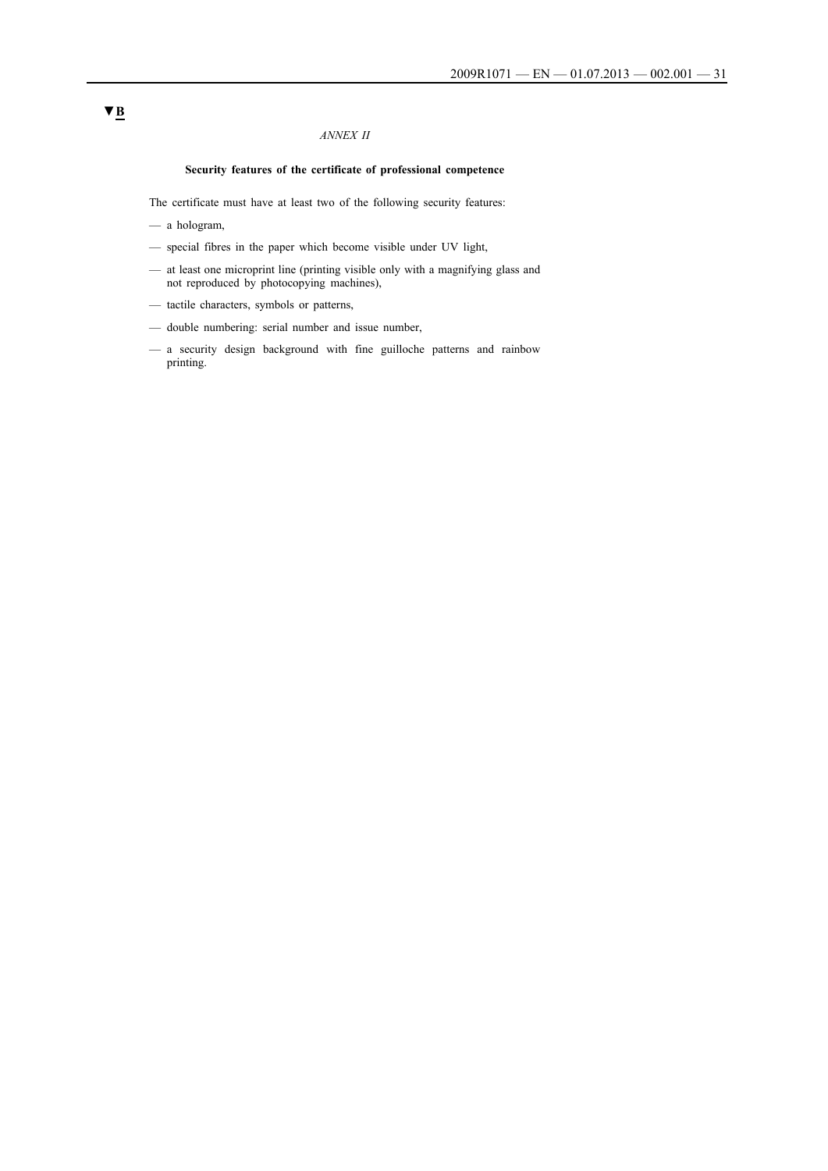## *ANNEX II*

## **Security features of the certificate of professional competence**

The certificate must have at least two of the following security features:

- a hologram,
- special fibres in the paper which become visible under UV light,
- at least one microprint line (printing visible only with a magnifying glass and not reproduced by photocopying machines),
- tactile characters, symbols or patterns,
- double numbering: serial number and issue number,
- a security design background with fine guilloche patterns and rainbow printing.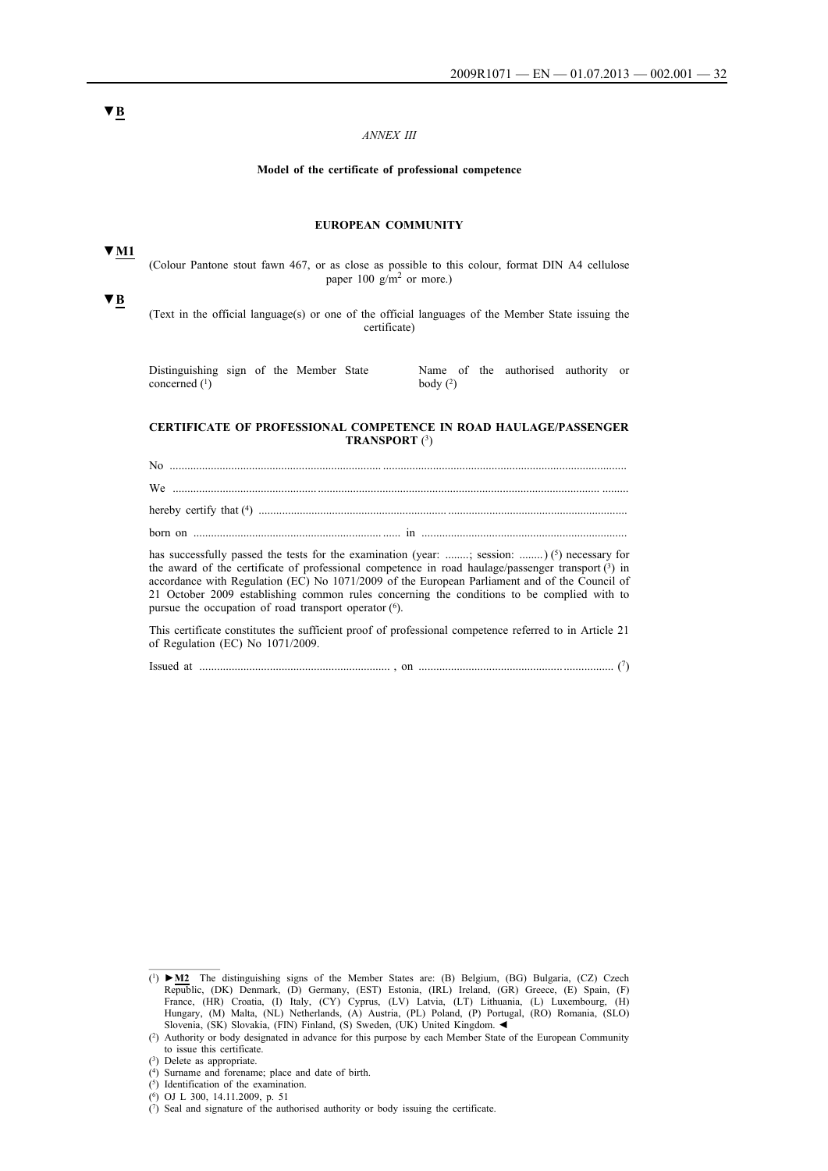## *ANNEX III*

#### **Model of the certificate of professional competence**

#### **EUROPEAN COMMUNITY**

(Colour Pantone stout fawn 467, or as close as possible to this colour, format DIN A4 cellulose paper  $100 \text{ g/m}^2$  or more.)

(Text in the official language(s) or one of the official languages of the Member State issuing the certificate)

| Distinguishing sign of the Member State |  |  |            |  | Name of the authorised authority or |  |
|-----------------------------------------|--|--|------------|--|-------------------------------------|--|
| concerned $(1)$                         |  |  | body $(2)$ |  |                                     |  |

### **CERTIFICATE OF PROFESSIONAL COMPETENCE IN ROAD HAULAGE/PASSENGER TRANSPORT** (3)

No ........................................................................ ................................................................................... We ................................................. ................................................................................................ ......... hereby certify that (4) ................................................................ .............................................................

born on ................................................................ ...... in ......................................................................

has successfully passed the tests for the examination (year: ........; session: .........) (5) necessary for the award of the certificate of professional competence in road haulage/passenger transport (3) in accordance with Regulation (EC) No 1071/2009 of the European Parliament and of the Council of 21 October 2009 establishing common rules concerning the conditions to be complied with to pursue the occupation of road transport operator  $(6)$ .

This certificate constitutes the sufficient proof of professional competence referred to in Article 21 of Regulation (EC) No 1071/2009.

| Issued at |  |  |  |
|-----------|--|--|--|
|-----------|--|--|--|

**▼B**

**▼M1**

<sup>(1)</sup> **►M2** The distinguishing signs of the Member States are: (B) Belgium, (BG) Bulgaria, (CZ) Czech Republic, (DK) Denmark, (D) Germany, (EST) Estonia, (IRL) Ireland, (GR) Greece, (E) Spain, (F) France, (HR) Croatia, (I) Italy, (CY) Cyprus, (LV) Latvia, (LT) Lithuania, (L) Luxembourg, (H) Hungary, (M) Malta, (NL) Netherlands, (A) Austria, (PL) Poland, (P) Portugal, (RO) Romania, (SLO) Slovenia, (SK) Slovakia, (FIN) Finland, (S) Sweden, (UK) United Kingdom. ◄

<sup>(2)</sup> Authority or body designated in advance for this purpose by each Member State of the European Community to issue this certificate.

<sup>(3)</sup> Delete as appropriate.

<sup>(4)</sup> Surname and forename; place and date of birth.

<sup>(5)</sup> Identification of the examination.

<sup>(6)</sup> OJ L 300, 14.11.2009, p. 51

 $(7)$  Seal and signature of the authorised authority or body issuing the certificate.